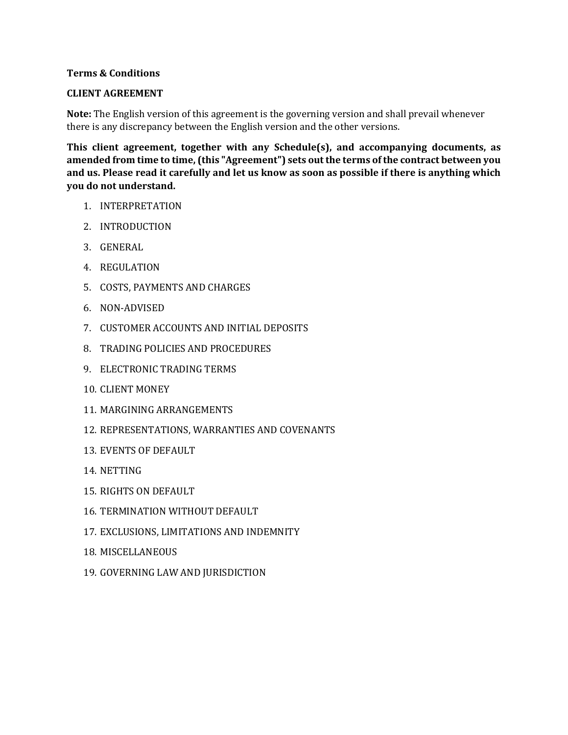## **Terms & Conditions**

## **CLIENT AGREEMENT**

**Note:** The English version of this agreement is the governing version and shall prevail whenever there is any discrepancy between the English version and the other versions.

**This client agreement, together with any Schedule(s), and accompanying documents, as amended from time to time, (this "Agreement") sets out the terms of the contract between you and us. Please read it carefully and let us know as soon as possible if there is anything which you do not understand.**

- 1. INTERPRETATION
- 2. INTRODUCTION
- 3. GENERAL
- 4. REGULATION
- 5. COSTS, PAYMENTS AND CHARGES
- 6. NON-ADVISED
- 7. CUSTOMER ACCOUNTS AND INITIAL DEPOSITS
- 8. TRADING POLICIES AND PROCEDURES
- 9. ELECTRONIC TRADING TERMS
- 10. CLIENT MONEY
- 11. MARGINING ARRANGEMENTS
- 12. REPRESENTATIONS, WARRANTIES AND COVENANTS
- 13. EVENTS OF DEFAULT
- 14. NETTING
- 15. RIGHTS ON DEFAULT
- 16. TERMINATION WITHOUT DEFAULT
- 17. EXCLUSIONS, LIMITATIONS AND INDEMNITY
- 18. MISCELLANEOUS
- 19. GOVERNING LAW AND JURISDICTION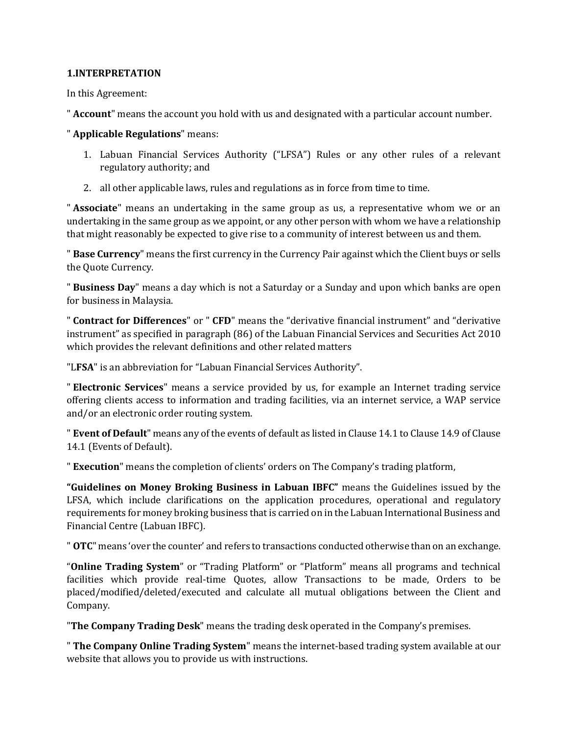## **1.INTERPRETATION**

In this Agreement:

" **Account**" means the account you hold with us and designated with a particular account number.

" **Applicable Regulations**" means:

- 1. Labuan Financial Services Authority ("LFSA") Rules or any other rules of a relevant regulatory authority; and
- 2. all other applicable laws, rules and regulations as in force from time to time.

" **Associate**" means an undertaking in the same group as us, a representative whom we or an undertaking in the same group as we appoint, or any other person with whom we have a relationship that might reasonably be expected to give rise to a community of interest between us and them.

" **Base Currency**" means the first currency in the Currency Pair against which the Client buys or sells the Quote Currency.

" **Business Day**" means a day which is not a Saturday or a Sunday and upon which banks are open for business in Malaysia.

" **Contract for Differences**" or " **CFD**" means the "derivative financial instrument" and "derivative instrument" as specified in paragraph (86) of the Labuan Financial Services and Securities Act 2010 which provides the relevant definitions and other related matters

"L**FSA**" is an abbreviation for "Labuan Financial Services Authority".

" **Electronic Services**" means a service provided by us, for example an Internet trading service offering clients access to information and trading facilities, via an internet service, a WAP service and/or an electronic order routing system.

" **Event of Default**" means any of the events of default as listed in Clause 14.1 to Clause 14.9 of Clause 14.1 (Events of Default).

" **Execution**" means the completion of clients' orders on The Company's trading platform,

**"Guidelines on Money Broking Business in Labuan IBFC"** means the Guidelines issued by the LFSA, which include clarifications on the application procedures, operational and regulatory requirements for money broking business that is carried on in the Labuan International Business and Financial Centre (Labuan IBFC).

" **OTC**" means 'over the counter' and refers to transactions conducted otherwise than on an exchange.

"**Online Trading System**" or "Trading Platform" or "Platform" means all programs and technical facilities which provide real-time Quotes, allow Transactions to be made, Orders to be placed/modified/deleted/executed and calculate all mutual obligations between the Client and Company.

"**The Company Trading Desk**" means the trading desk operated in the Company's premises.

" **The Company Online Trading System**" means the internet-based trading system available at our website that allows you to provide us with instructions.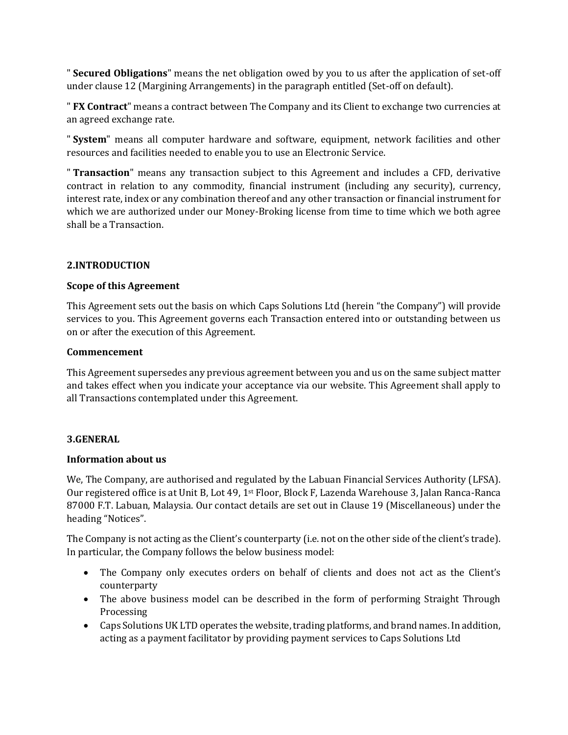" **Secured Obligations**" means the net obligation owed by you to us after the application of set-off under clause 12 (Margining Arrangements) in the paragraph entitled (Set-off on default).

" **FX Contract**" means a contract between The Company and its Client to exchange two currencies at an agreed exchange rate.

" **System**" means all computer hardware and software, equipment, network facilities and other resources and facilities needed to enable you to use an Electronic Service.

" **Transaction**" means any transaction subject to this Agreement and includes a CFD, derivative contract in relation to any commodity, financial instrument (including any security), currency, interest rate, index or any combination thereof and any other transaction or financial instrument for which we are authorized under our Money-Broking license from time to time which we both agree shall be a Transaction.

## **2.INTRODUCTION**

## **Scope of this Agreement**

This Agreement sets out the basis on which Caps Solutions Ltd (herein "the Company") will provide services to you. This Agreement governs each Transaction entered into or outstanding between us on or after the execution of this Agreement.

## **Commencement**

This Agreement supersedes any previous agreement between you and us on the same subject matter and takes effect when you indicate your acceptance via our website. This Agreement shall apply to all Transactions contemplated under this Agreement.

## **3.GENERAL**

## **Information about us**

We, The Company, are authorised and regulated by the Labuan Financial Services Authority (LFSA). Our registered office is at Unit B, Lot 49, 1st Floor, Block F, Lazenda Warehouse 3, Jalan Ranca-Ranca 87000 F.T. Labuan, Malaysia. Our contact details are set out in Clause 19 (Miscellaneous) under the heading "Notices".

The Company is not acting as the Client's counterparty (i.e. not on the other side of the client's trade). In particular, the Company follows the below business model:

- The Company only executes orders on behalf of clients and does not act as the Client's counterparty
- The above business model can be described in the form of performing Straight Through Processing
- Caps Solutions UK LTD operates the website, trading platforms, and brand names. In addition, acting as a payment facilitator by providing payment services to Caps Solutions Ltd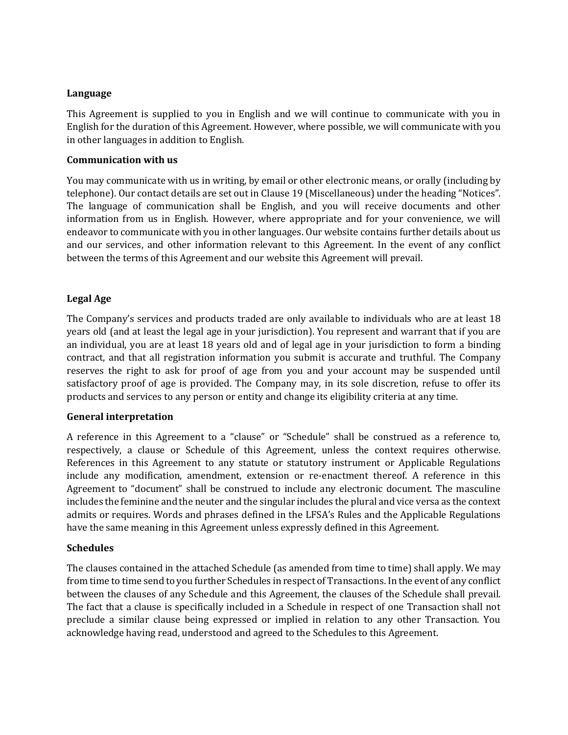## **Language**

This Agreement is supplied to you in English and we will continue to communicate with you in English for the duration of this Agreement. However, where possible, we will communicate with you in other languages in addition to English.

## **Communication with us**

You may communicate with us in writing, by email or other electronic means, or orally (including by telephone). Our contact details are set out in Clause 19 (Miscellaneous) under the heading "Notices". The language of communication shall be English, and you will receive documents and other information from us in English. However, where appropriate and for your convenience, we will endeavor to communicate with you in other languages. Our website contains further details about us and our services, and other information relevant to this Agreement. In the event of any conflict between the terms of this Agreement and our website this Agreement will prevail.

## **Legal Age**

The Company's services and products traded are only available to individuals who are at least 18 years old (and at least the legal age in your jurisdiction). You represent and warrant that if you are an individual, you are at least 18 years old and of legal age in your jurisdiction to form a binding contract, and that all registration information you submit is accurate and truthful. The Company reserves the right to ask for proof of age from you and your account may be suspended until satisfactory proof of age is provided. The Company may, in its sole discretion, refuse to offer its products and services to any person or entity and change its eligibility criteria at any time.

## **General interpretation**

A reference in this Agreement to a "clause" or "Schedule" shall be construed as a reference to, respectively, a clause or Schedule of this Agreement, unless the context requires otherwise. References in this Agreement to any statute or statutory instrument or Applicable Regulations include any modification, amendment, extension or re-enactment thereof. A reference in this Agreement to "document" shall be construed to include any electronic document. The masculine includes the feminine and the neuter and the singular includes the plural and vice versa as the context admits or requires. Words and phrases defined in the LFSA's Rules and the Applicable Regulations have the same meaning in this Agreement unless expressly defined in this Agreement.

## **Schedules**

The clauses contained in the attached Schedule (as amended from time to time) shall apply. We may from time to time send to you further Schedules in respect of Transactions. In the event of any conflict between the clauses of any Schedule and this Agreement, the clauses of the Schedule shall prevail. The fact that a clause is specifically included in a Schedule in respect of one Transaction shall not preclude a similar clause being expressed or implied in relation to any other Transaction. You acknowledge having read, understood and agreed to the Schedules to this Agreement.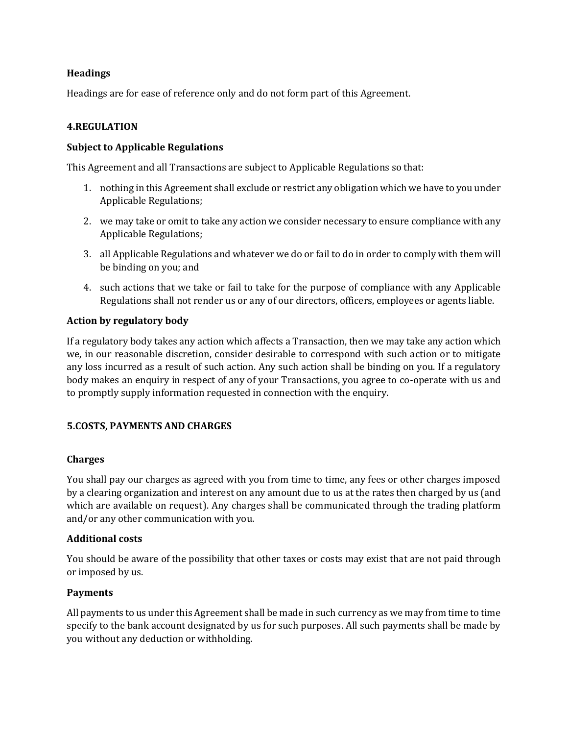## **Headings**

Headings are for ease of reference only and do not form part of this Agreement.

## **4.REGULATION**

## **Subject to Applicable Regulations**

This Agreement and all Transactions are subject to Applicable Regulations so that:

- 1. nothing in this Agreement shall exclude or restrict any obligation which we have to you under Applicable Regulations;
- 2. we may take or omit to take any action we consider necessary to ensure compliance with any Applicable Regulations;
- 3. all Applicable Regulations and whatever we do or fail to do in order to comply with them will be binding on you; and
- 4. such actions that we take or fail to take for the purpose of compliance with any Applicable Regulations shall not render us or any of our directors, officers, employees or agents liable.

## **Action by regulatory body**

If a regulatory body takes any action which affects a Transaction, then we may take any action which we, in our reasonable discretion, consider desirable to correspond with such action or to mitigate any loss incurred as a result of such action. Any such action shall be binding on you. If a regulatory body makes an enquiry in respect of any of your Transactions, you agree to co-operate with us and to promptly supply information requested in connection with the enquiry.

## **5.COSTS, PAYMENTS AND CHARGES**

## **Charges**

You shall pay our charges as agreed with you from time to time, any fees or other charges imposed by a clearing organization and interest on any amount due to us at the rates then charged by us (and which are available on request). Any charges shall be communicated through the trading platform and/or any other communication with you.

## **Additional costs**

You should be aware of the possibility that other taxes or costs may exist that are not paid through or imposed by us.

## **Payments**

All payments to us under this Agreement shall be made in such currency as we may from time to time specify to the bank account designated by us for such purposes. All such payments shall be made by you without any deduction or withholding.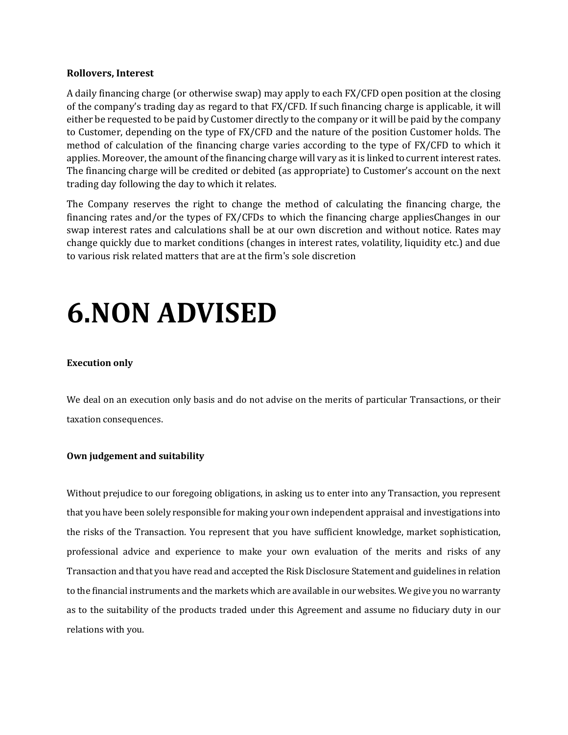## **Rollovers, Interest**

A daily financing charge (or otherwise swap) may apply to each FX/CFD open position at the closing of the company's trading day as regard to that FX/CFD. If such financing charge is applicable, it will either be requested to be paid by Customer directly to the company or it will be paid by the company to Customer, depending on the type of FX/CFD and the nature of the position Customer holds. The method of calculation of the financing charge varies according to the type of FX/CFD to which it applies. Moreover, the amount of the financing charge will vary as it is linked to current interest rates. The financing charge will be credited or debited (as appropriate) to Customer's account on the next trading day following the day to which it relates.

The Company reserves the right to change the method of calculating the financing charge, the financing rates and/or the types of FX/CFDs to which the financing charge appliesChanges in our swap interest rates and calculations shall be at our own discretion and without notice. Rates may change quickly due to market conditions (changes in interest rates, volatility, liquidity etc.) and due to various risk related matters that are at the firm's sole discretion

## **6.NON ADVISED**

## **Execution only**

We deal on an execution only basis and do not advise on the merits of particular Transactions, or their taxation consequences.

## **Own judgement and suitability**

Without prejudice to our foregoing obligations, in asking us to enter into any Transaction, you represent that you have been solely responsible for making your own independent appraisal and investigations into the risks of the Transaction. You represent that you have sufficient knowledge, market sophistication, professional advice and experience to make your own evaluation of the merits and risks of any Transaction and that you have read and accepted the Risk Disclosure Statement and guidelines in relation to the financial instruments and the markets which are available in our websites. We give you no warranty as to the suitability of the products traded under this Agreement and assume no fiduciary duty in our relations with you.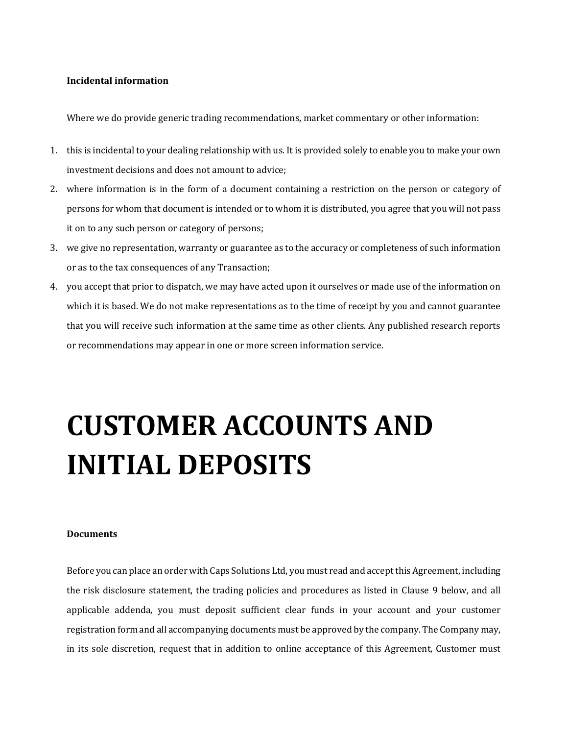## **Incidental information**

Where we do provide generic trading recommendations, market commentary or other information:

- 1. this is incidental to your dealing relationship with us. It is provided solely to enable you to make your own investment decisions and does not amount to advice;
- 2. where information is in the form of a document containing a restriction on the person or category of persons for whom that document is intended or to whom it is distributed, you agree that you will not pass it on to any such person or category of persons;
- 3. we give no representation, warranty or guarantee as to the accuracy or completeness of such information or as to the tax consequences of any Transaction;
- 4. you accept that prior to dispatch, we may have acted upon it ourselves or made use of the information on which it is based. We do not make representations as to the time of receipt by you and cannot guarantee that you will receive such information at the same time as other clients. Any published research reports or recommendations may appear in one or more screen information service.

# **CUSTOMER ACCOUNTS AND INITIAL DEPOSITS**

#### **Documents**

Before you can place an order with Caps Solutions Ltd, you must read and accept this Agreement, including the risk disclosure statement, the trading policies and procedures as listed in Clause 9 below, and all applicable addenda, you must deposit sufficient clear funds in your account and your customer registration form and all accompanying documents must be approved by the company. The Company may, in its sole discretion, request that in addition to online acceptance of this Agreement, Customer must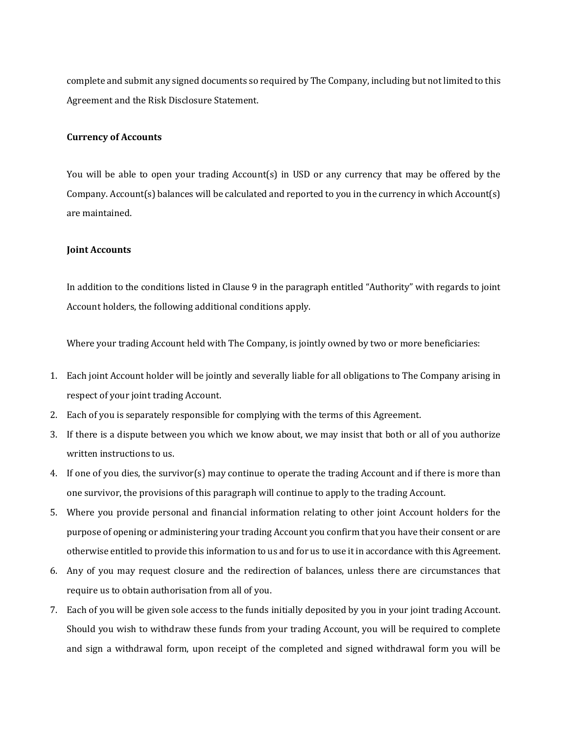complete and submit any signed documents so required by The Company, including but not limited to this Agreement and the Risk Disclosure Statement.

## **Currency of Accounts**

You will be able to open your trading Account(s) in USD or any currency that may be offered by the Company. Account(s) balances will be calculated and reported to you in the currency in which Account(s) are maintained.

## **Joint Accounts**

In addition to the conditions listed in Clause 9 in the paragraph entitled "Authority" with regards to joint Account holders, the following additional conditions apply.

Where your trading Account held with The Company, is jointly owned by two or more beneficiaries:

- 1. Each joint Account holder will be jointly and severally liable for all obligations to The Company arising in respect of your joint trading Account.
- 2. Each of you is separately responsible for complying with the terms of this Agreement.
- 3. If there is a dispute between you which we know about, we may insist that both or all of you authorize written instructions to us.
- 4. If one of you dies, the survivor(s) may continue to operate the trading Account and if there is more than one survivor, the provisions of this paragraph will continue to apply to the trading Account.
- 5. Where you provide personal and financial information relating to other joint Account holders for the purpose of opening or administering your trading Account you confirm that you have their consent or are otherwise entitled to provide this information to us and for us to use it in accordance with this Agreement.
- 6. Any of you may request closure and the redirection of balances, unless there are circumstances that require us to obtain authorisation from all of you.
- 7. Each of you will be given sole access to the funds initially deposited by you in your joint trading Account. Should you wish to withdraw these funds from your trading Account, you will be required to complete and sign a withdrawal form, upon receipt of the completed and signed withdrawal form you will be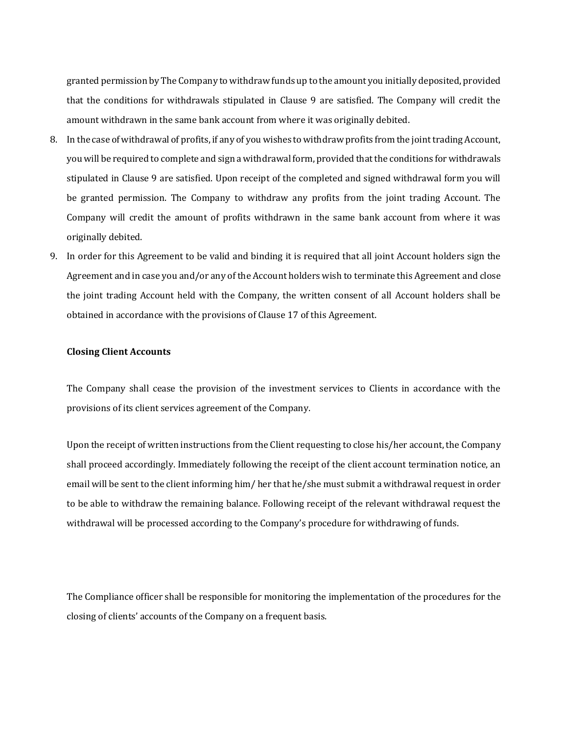granted permission by The Company to withdraw funds up to the amount you initially deposited, provided that the conditions for withdrawals stipulated in Clause 9 are satisfied. The Company will credit the amount withdrawn in the same bank account from where it was originally debited.

- 8. In the case of withdrawal of profits, if any of you wishes to withdraw profits from the joint trading Account, you will be required to complete and sign a withdrawal form, provided that the conditions for withdrawals stipulated in Clause 9 are satisfied. Upon receipt of the completed and signed withdrawal form you will be granted permission. The Company to withdraw any profits from the joint trading Account. The Company will credit the amount of profits withdrawn in the same bank account from where it was originally debited.
- 9. In order for this Agreement to be valid and binding it is required that all joint Account holders sign the Agreement and in case you and/or any of the Account holders wish to terminate this Agreement and close the joint trading Account held with the Company, the written consent of all Account holders shall be obtained in accordance with the provisions of Clause 17 of this Agreement.

## **Closing Client Accounts**

The Company shall cease the provision of the investment services to Clients in accordance with the provisions of its client services agreement of the Company.

Upon the receipt of written instructions from the Client requesting to close his/her account, the Company shall proceed accordingly. Immediately following the receipt of the client account termination notice, an email will be sent to the client informing him/ her that he/she must submit a withdrawal request in order to be able to withdraw the remaining balance. Following receipt of the relevant withdrawal request the withdrawal will be processed according to the Company's procedure for withdrawing of funds.

The Compliance officer shall be responsible for monitoring the implementation of the procedures for the closing of clients' accounts of the Company on a frequent basis.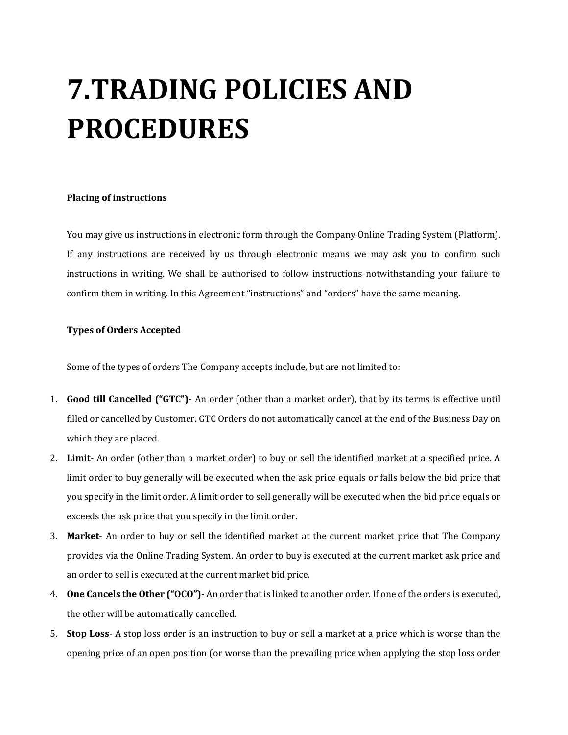# **7.TRADING POLICIES AND PROCEDURES**

### **Placing of instructions**

You may give us instructions in electronic form through the Company Online Trading System (Platform). If any instructions are received by us through electronic means we may ask you to confirm such instructions in writing. We shall be authorised to follow instructions notwithstanding your failure to confirm them in writing. In this Agreement "instructions" and "orders" have the same meaning.

## **Types of Orders Accepted**

Some of the types of orders The Company accepts include, but are not limited to:

- 1. **Good till Cancelled ("GTC")** An order (other than a market order), that by its terms is effective until filled or cancelled by Customer. GTC Orders do not automatically cancel at the end of the Business Day on which they are placed.
- 2. **Limit** An order (other than a market order) to buy or sell the identified market at a specified price. A limit order to buy generally will be executed when the ask price equals or falls below the bid price that you specify in the limit order. A limit order to sell generally will be executed when the bid price equals or exceeds the ask price that you specify in the limit order.
- 3. **Market** An order to buy or sell the identified market at the current market price that The Company provides via the Online Trading System. An order to buy is executed at the current market ask price and an order to sell is executed at the current market bid price.
- 4. **One Cancels the Other ("OCO")** An order that is linked to another order. If one of the orders is executed, the other will be automatically cancelled.
- 5. **Stop Loss** A stop loss order is an instruction to buy or sell a market at a price which is worse than the opening price of an open position (or worse than the prevailing price when applying the stop loss order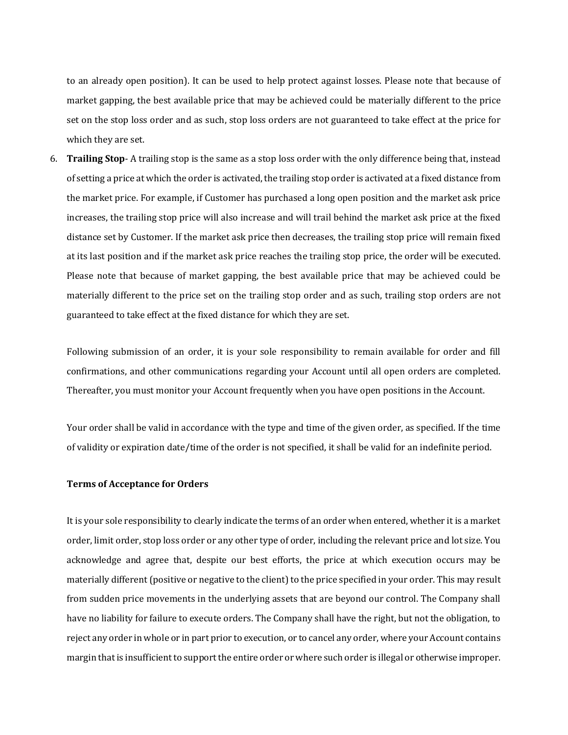to an already open position). It can be used to help protect against losses. Please note that because of market gapping, the best available price that may be achieved could be materially different to the price set on the stop loss order and as such, stop loss orders are not guaranteed to take effect at the price for which they are set.

6. **Trailing Stop**- A trailing stop is the same as a stop loss order with the only difference being that, instead of setting a price at which the order is activated, the trailing stop order is activated at a fixed distance from the market price. For example, if Customer has purchased a long open position and the market ask price increases, the trailing stop price will also increase and will trail behind the market ask price at the fixed distance set by Customer. If the market ask price then decreases, the trailing stop price will remain fixed at its last position and if the market ask price reaches the trailing stop price, the order will be executed. Please note that because of market gapping, the best available price that may be achieved could be materially different to the price set on the trailing stop order and as such, trailing stop orders are not guaranteed to take effect at the fixed distance for which they are set.

Following submission of an order, it is your sole responsibility to remain available for order and fill confirmations, and other communications regarding your Account until all open orders are completed. Thereafter, you must monitor your Account frequently when you have open positions in the Account.

Your order shall be valid in accordance with the type and time of the given order, as specified. If the time of validity or expiration date/time of the order is not specified, it shall be valid for an indefinite period.

## **Terms of Acceptance for Orders**

It is your sole responsibility to clearly indicate the terms of an order when entered, whether it is a market order, limit order, stop loss order or any other type of order, including the relevant price and lot size. You acknowledge and agree that, despite our best efforts, the price at which execution occurs may be materially different (positive or negative to the client) to the price specified in your order. This may result from sudden price movements in the underlying assets that are beyond our control. The Company shall have no liability for failure to execute orders. The Company shall have the right, but not the obligation, to reject any order in whole or in part prior to execution, or to cancel any order, where your Account contains margin that is insufficient to support the entire order or where such order is illegal or otherwise improper.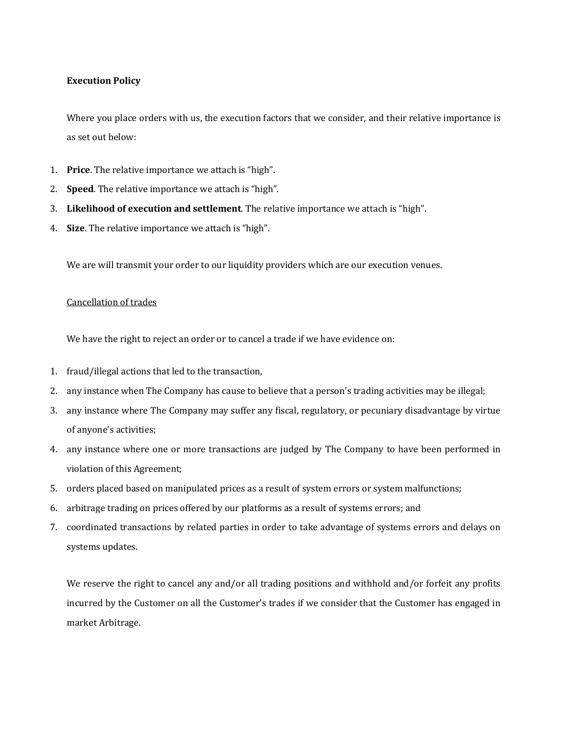## **Execution Policy**

Where you place orders with us, the execution factors that we consider, and their relative importance is as set out below:

- 1. **Price**. The relative importance we attach is "high".
- 2. **Speed**. The relative importance we attach is "high".
- 3. **Likelihood of execution and settlement**. The relative importance we attach is "high".
- 4. **Size**. The relative importance we attach is "high".

We are will transmit your order to our liquidity providers which are our execution venues.

## Cancellation of trades

We have the right to reject an order or to cancel a trade if we have evidence on:

- 1. fraud/illegal actions that led to the transaction,
- 2. any instance when The Company has cause to believe that a person's trading activities may be illegal;
- 3. any instance where The Company may suffer any fiscal, regulatory, or pecuniary disadvantage by virtue of anyone's activities;
- 4. any instance where one or more transactions are judged by The Company to have been performed in violation of this Agreement;
- 5. orders placed based on manipulated prices as a result of system errors or system malfunctions;
- 6. arbitrage trading on prices offered by our platforms as a result of systems errors; and
- 7. coordinated transactions by related parties in order to take advantage of systems errors and delays on systems updates.

We reserve the right to cancel any and/or all trading positions and withhold and/or forfeit any profits incurred by the Customer on all the Customer's trades if we consider that the Customer has engaged in market Arbitrage.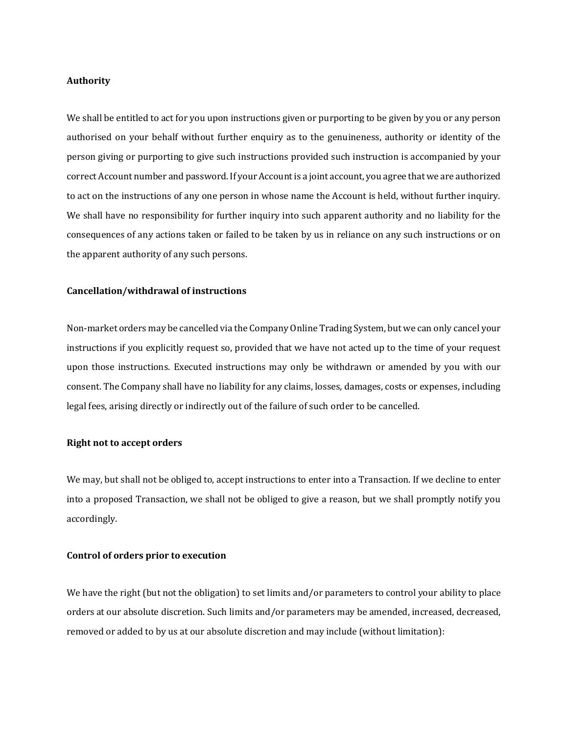#### **Authority**

We shall be entitled to act for you upon instructions given or purporting to be given by you or any person authorised on your behalf without further enquiry as to the genuineness, authority or identity of the person giving or purporting to give such instructions provided such instruction is accompanied by your correct Account number and password. If your Account is a joint account, you agree that we are authorized to act on the instructions of any one person in whose name the Account is held, without further inquiry. We shall have no responsibility for further inquiry into such apparent authority and no liability for the consequences of any actions taken or failed to be taken by us in reliance on any such instructions or on the apparent authority of any such persons.

## **Cancellation/withdrawal of instructions**

Non-market orders may be cancelled via the Company Online Trading System, but we can only cancel your instructions if you explicitly request so, provided that we have not acted up to the time of your request upon those instructions. Executed instructions may only be withdrawn or amended by you with our consent. The Company shall have no liability for any claims, losses, damages, costs or expenses, including legal fees, arising directly or indirectly out of the failure of such order to be cancelled.

#### **Right not to accept orders**

We may, but shall not be obliged to, accept instructions to enter into a Transaction. If we decline to enter into a proposed Transaction, we shall not be obliged to give a reason, but we shall promptly notify you accordingly.

#### **Control of orders prior to execution**

We have the right (but not the obligation) to set limits and/or parameters to control your ability to place orders at our absolute discretion. Such limits and/or parameters may be amended, increased, decreased, removed or added to by us at our absolute discretion and may include (without limitation):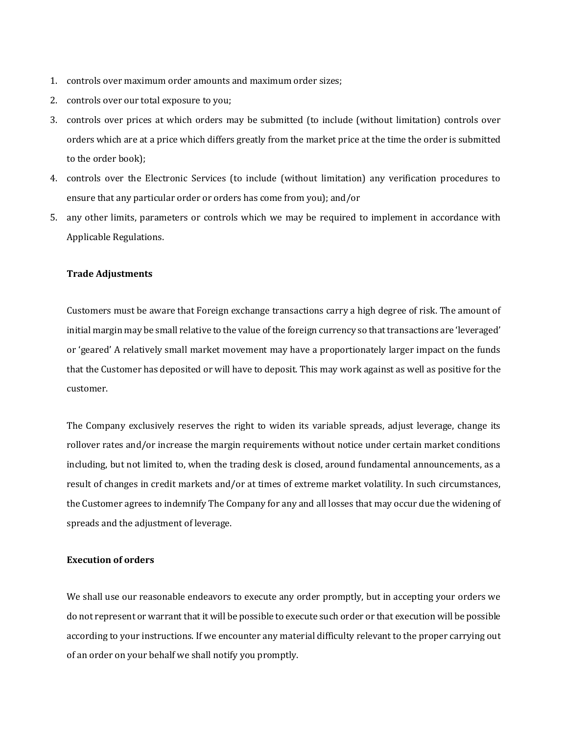- 1. controls over maximum order amounts and maximum order sizes;
- 2. controls over our total exposure to you;
- 3. controls over prices at which orders may be submitted (to include (without limitation) controls over orders which are at a price which differs greatly from the market price at the time the order is submitted to the order book);
- 4. controls over the Electronic Services (to include (without limitation) any verification procedures to ensure that any particular order or orders has come from you); and/or
- 5. any other limits, parameters or controls which we may be required to implement in accordance with Applicable Regulations.

#### **Trade Adjustments**

Customers must be aware that Foreign exchange transactions carry a high degree of risk. The amount of initial margin may be small relative to the value of the foreign currency so that transactions are 'leveraged' or 'geared' A relatively small market movement may have a proportionately larger impact on the funds that the Customer has deposited or will have to deposit. This may work against as well as positive for the customer.

The Company exclusively reserves the right to widen its variable spreads, adjust leverage, change its rollover rates and/or increase the margin requirements without notice under certain market conditions including, but not limited to, when the trading desk is closed, around fundamental announcements, as a result of changes in credit markets and/or at times of extreme market volatility. In such circumstances, the Customer agrees to indemnify The Company for any and all losses that may occur due the widening of spreads and the adjustment of leverage.

### **Execution of orders**

We shall use our reasonable endeavors to execute any order promptly, but in accepting your orders we do not represent or warrant that it will be possible to execute such order or that execution will be possible according to your instructions. If we encounter any material difficulty relevant to the proper carrying out of an order on your behalf we shall notify you promptly.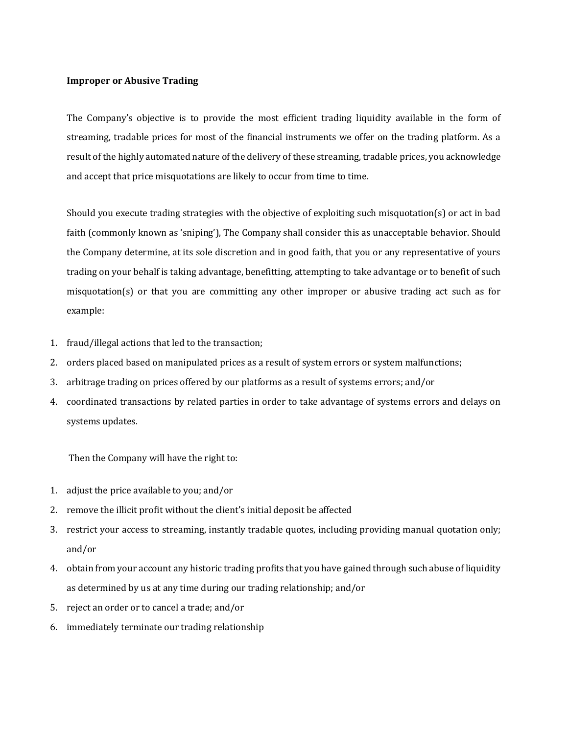## **Improper or Abusive Trading**

The Company's objective is to provide the most efficient trading liquidity available in the form of streaming, tradable prices for most of the financial instruments we offer on the trading platform. As a result of the highly automated nature of the delivery of these streaming, tradable prices, you acknowledge and accept that price misquotations are likely to occur from time to time.

Should you execute trading strategies with the objective of exploiting such misquotation(s) or act in bad faith (commonly known as 'sniping'), The Company shall consider this as unacceptable behavior. Should the Company determine, at its sole discretion and in good faith, that you or any representative of yours trading on your behalf is taking advantage, benefitting, attempting to take advantage or to benefit of such misquotation(s) or that you are committing any other improper or abusive trading act such as for example:

- 1. fraud/illegal actions that led to the transaction;
- 2. orders placed based on manipulated prices as a result of system errors or system malfunctions;
- 3. arbitrage trading on prices offered by our platforms as a result of systems errors; and/or
- 4. coordinated transactions by related parties in order to take advantage of systems errors and delays on systems updates.

Then the Company will have the right to:

- 1. adjust the price available to you; and/or
- 2. remove the illicit profit without the client's initial deposit be affected
- 3. restrict your access to streaming, instantly tradable quotes, including providing manual quotation only; and/or
- 4. obtain from your account any historic trading profits that you have gained through such abuse of liquidity as determined by us at any time during our trading relationship; and/or
- 5. reject an order or to cancel a trade; and/or
- 6. immediately terminate our trading relationship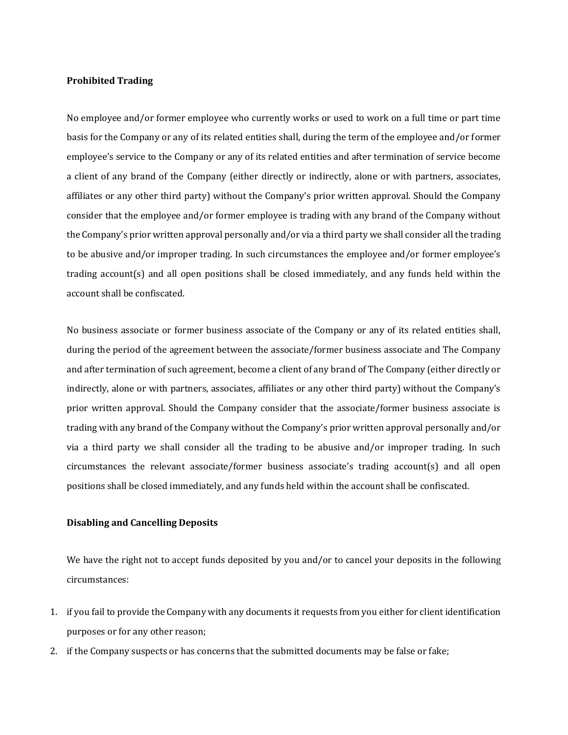## **Prohibited Trading**

No employee and/or former employee who currently works or used to work on a full time or part time basis for the Company or any of its related entities shall, during the term of the employee and/or former employee's service to the Company or any of its related entities and after termination of service become a client of any brand of the Company (either directly or indirectly, alone or with partners, associates, affiliates or any other third party) without the Company's prior written approval. Should the Company consider that the employee and/or former employee is trading with any brand of the Company without the Company's prior written approval personally and/or via a third party we shall consider all the trading to be abusive and/or improper trading. In such circumstances the employee and/or former employee's trading account(s) and all open positions shall be closed immediately, and any funds held within the account shall be confiscated.

No business associate or former business associate of the Company or any of its related entities shall, during the period of the agreement between the associate/former business associate and The Company and after termination of such agreement, become a client of any brand of The Company (either directly or indirectly, alone or with partners, associates, affiliates or any other third party) without the Company's prior written approval. Should the Company consider that the associate/former business associate is trading with any brand of the Company without the Company's prior written approval personally and/or via a third party we shall consider all the trading to be abusive and/or improper trading. In such circumstances the relevant associate/former business associate's trading account(s) and all open positions shall be closed immediately, and any funds held within the account shall be confiscated.

## **Disabling and Cancelling Deposits**

We have the right not to accept funds deposited by you and/or to cancel your deposits in the following circumstances:

- 1. if you fail to provide the Company with any documents it requests from you either for client identification purposes or for any other reason;
- 2. if the Company suspects or has concerns that the submitted documents may be false or fake;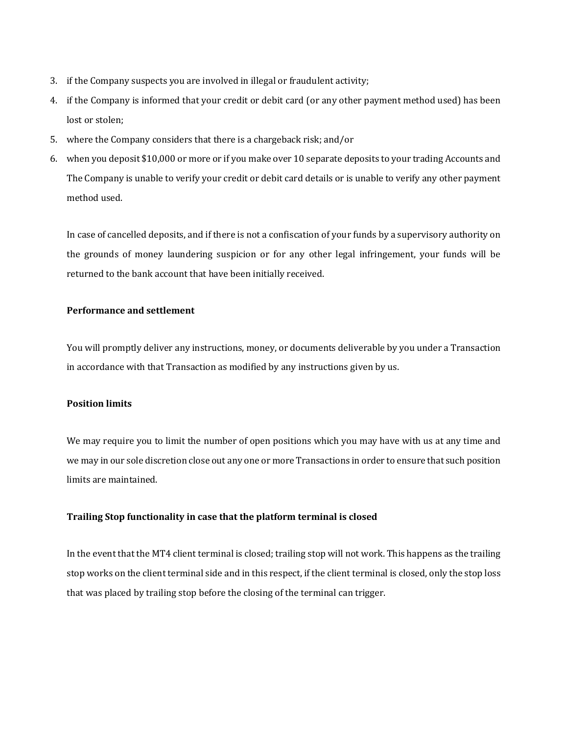- 3. if the Company suspects you are involved in illegal or fraudulent activity;
- 4. if the Company is informed that your credit or debit card (or any other payment method used) has been lost or stolen;
- 5. where the Company considers that there is a chargeback risk; and/or
- 6. when you deposit \$10,000 or more or if you make over 10 separate deposits to your trading Accounts and The Company is unable to verify your credit or debit card details or is unable to verify any other payment method used.

In case of cancelled deposits, and if there is not a confiscation of your funds by a supervisory authority on the grounds of money laundering suspicion or for any other legal infringement, your funds will be returned to the bank account that have been initially received.

## **Performance and settlement**

You will promptly deliver any instructions, money, or documents deliverable by you under a Transaction in accordance with that Transaction as modified by any instructions given by us.

## **Position limits**

We may require you to limit the number of open positions which you may have with us at any time and we may in our sole discretion close out any one or more Transactions in order to ensure that such position limits are maintained.

## **Trailing Stop functionality in case that the platform terminal is closed**

In the event that the MT4 client terminal is closed; trailing stop will not work. This happens as the trailing stop works on the client terminal side and in this respect, if the client terminal is closed, only the stop loss that was placed by trailing stop before the closing of the terminal can trigger.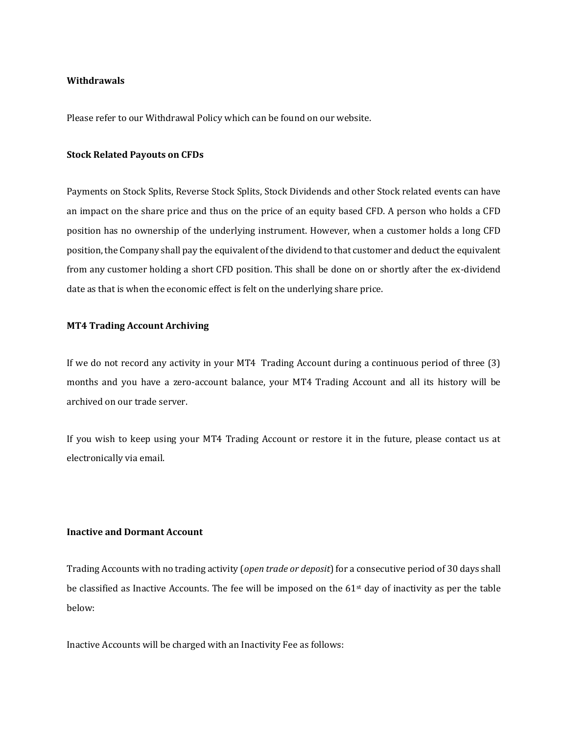#### **Withdrawals**

Please refer to our Withdrawal Policy which can be found on our website.

#### **Stock Related Payouts on CFDs**

Payments on Stock Splits, Reverse Stock Splits, Stock Dividends and other Stock related events can have an impact on the share price and thus on the price of an equity based CFD. A person who holds a CFD position has no ownership of the underlying instrument. However, when a customer holds a long CFD position, the Company shall pay the equivalent of the dividend to that customer and deduct the equivalent from any customer holding a short CFD position. This shall be done on or shortly after the ex-dividend date as that is when the economic effect is felt on the underlying share price.

## **MT4 Trading Account Archiving**

If we do not record any activity in your MT4 Trading Account during a continuous period of three (3) months and you have a zero-account balance, your MT4 Trading Account and all its history will be archived on our trade server.

If you wish to keep using your MT4 Trading Account or restore it in the future, please contact us at electronically via email.

## **Inactive and Dormant Account**

Trading Accounts with no trading activity (*open trade or deposit*) for a consecutive period of 30 days shall be classified as Inactive Accounts. The fee will be imposed on the  $61<sup>st</sup>$  day of inactivity as per the table below:

Inactive Accounts will be charged with an Inactivity Fee as follows: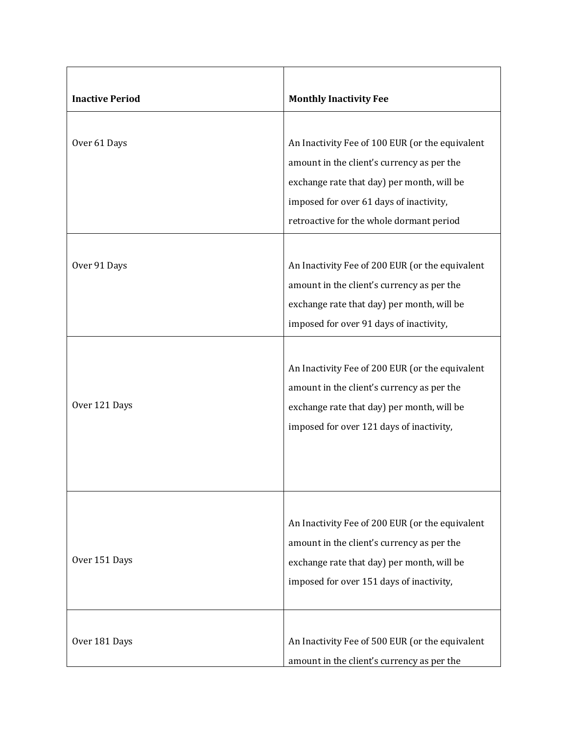| <b>Inactive Period</b>        | <b>Monthly Inactivity Fee</b>                                                                                                                                                                                                                                                                                                                                                     |
|-------------------------------|-----------------------------------------------------------------------------------------------------------------------------------------------------------------------------------------------------------------------------------------------------------------------------------------------------------------------------------------------------------------------------------|
|                               |                                                                                                                                                                                                                                                                                                                                                                                   |
| Over 61 Days                  | An Inactivity Fee of 100 EUR (or the equivalent<br>amount in the client's currency as per the<br>exchange rate that day) per month, will be<br>imposed for over 61 days of inactivity,<br>retroactive for the whole dormant period                                                                                                                                                |
|                               |                                                                                                                                                                                                                                                                                                                                                                                   |
| Over 91 Days<br>Over 121 Days | An Inactivity Fee of 200 EUR (or the equivalent<br>amount in the client's currency as per the<br>exchange rate that day) per month, will be<br>imposed for over 91 days of inactivity,<br>An Inactivity Fee of 200 EUR (or the equivalent<br>amount in the client's currency as per the<br>exchange rate that day) per month, will be<br>imposed for over 121 days of inactivity, |
| Over 151 Days                 | An Inactivity Fee of 200 EUR (or the equivalent<br>amount in the client's currency as per the<br>exchange rate that day) per month, will be<br>imposed for over 151 days of inactivity,                                                                                                                                                                                           |
| Over 181 Days                 | An Inactivity Fee of 500 EUR (or the equivalent<br>amount in the client's currency as per the                                                                                                                                                                                                                                                                                     |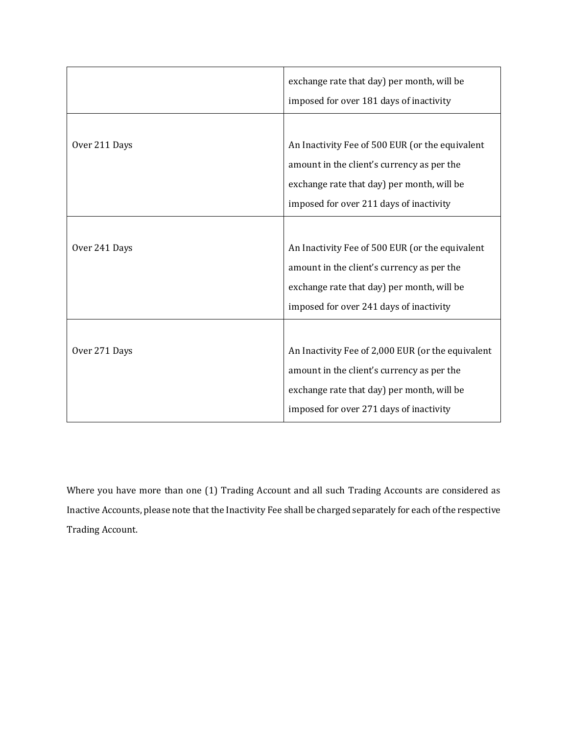|               | exchange rate that day) per month, will be<br>imposed for over 181 days of inactivity                                                                                                    |
|---------------|------------------------------------------------------------------------------------------------------------------------------------------------------------------------------------------|
| Over 211 Days | An Inactivity Fee of 500 EUR (or the equivalent<br>amount in the client's currency as per the<br>exchange rate that day) per month, will be<br>imposed for over 211 days of inactivity   |
| Over 241 Days | An Inactivity Fee of 500 EUR (or the equivalent<br>amount in the client's currency as per the<br>exchange rate that day) per month, will be<br>imposed for over 241 days of inactivity   |
| Over 271 Days | An Inactivity Fee of 2,000 EUR (or the equivalent<br>amount in the client's currency as per the<br>exchange rate that day) per month, will be<br>imposed for over 271 days of inactivity |

Where you have more than one (1) Trading Account and all such Trading Accounts are considered as Inactive Accounts, please note that the Inactivity Fee shall be charged separately for each of the respective Trading Account.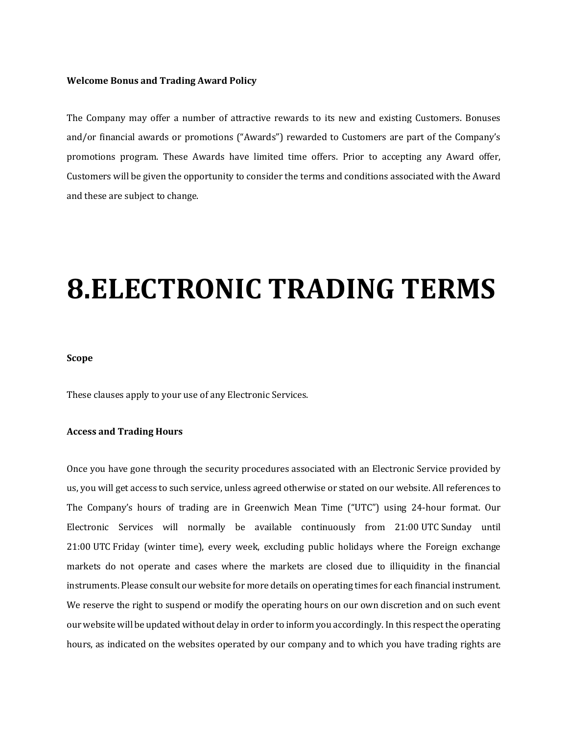#### **Welcome Bonus and Trading Award Policy**

The Company may offer a number of attractive rewards to its new and existing Customers. Bonuses and/or financial awards or promotions ("Awards") rewarded to Customers are part of the Company's promotions program. These Awards have limited time offers. Prior to accepting any Award offer, Customers will be given the opportunity to consider the terms and conditions associated with the Award and these are subject to change.

## **8.ELECTRONIC TRADING TERMS**

### **Scope**

These clauses apply to your use of any Electronic Services.

## **Access and Trading Hours**

Once you have gone through the security procedures associated with an Electronic Service provided by us, you will get access to such service, unless agreed otherwise or stated on our website. All references to The Company's hours of trading are in Greenwich Mean Time ("UTC") using 24-hour format. Our Electronic Services will normally be available continuously from 21:00 UTC Sunday until 21:00 UTC Friday (winter time), every week, excluding public holidays where the Foreign exchange markets do not operate and cases where the markets are closed due to illiquidity in the financial instruments. Please consult our website for more details on operating times for each financial instrument. We reserve the right to suspend or modify the operating hours on our own discretion and on such event our website will be updated without delay in order to inform you accordingly. In this respect the operating hours, as indicated on the websites operated by our company and to which you have trading rights are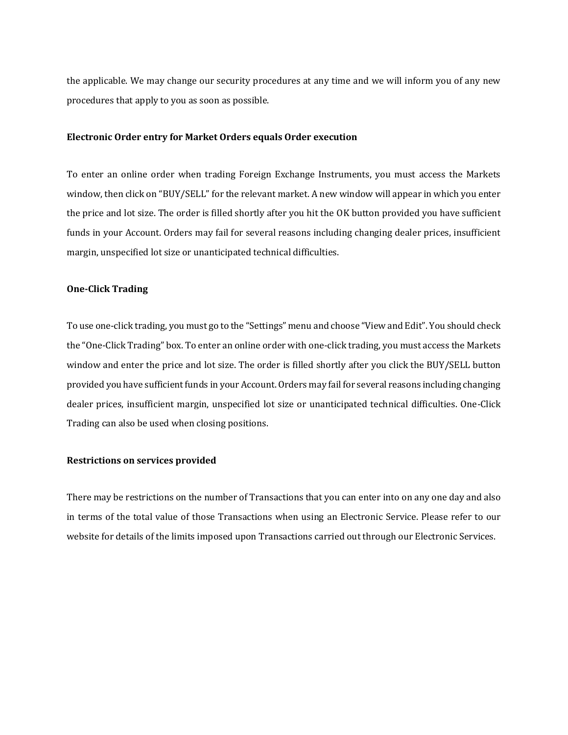the applicable. We may change our security procedures at any time and we will inform you of any new procedures that apply to you as soon as possible.

#### **Electronic Order entry for Market Orders equals Order execution**

To enter an online order when trading Foreign Exchange Instruments, you must access the Markets window, then click on "BUY/SELL" for the relevant market. A new window will appear in which you enter the price and lot size. The order is filled shortly after you hit the OK button provided you have sufficient funds in your Account. Orders may fail for several reasons including changing dealer prices, insufficient margin, unspecified lot size or unanticipated technical difficulties.

## **One-Click Trading**

To use one-click trading, you must go to the "Settings" menu and choose "View and Edit". You should check the "One-Click Trading" box. To enter an online order with one-click trading, you must access the Markets window and enter the price and lot size. The order is filled shortly after you click the BUY/SELL button provided you have sufficient funds in your Account. Orders may fail for several reasons including changing dealer prices, insufficient margin, unspecified lot size or unanticipated technical difficulties. One-Click Trading can also be used when closing positions.

#### **Restrictions on services provided**

There may be restrictions on the number of Transactions that you can enter into on any one day and also in terms of the total value of those Transactions when using an Electronic Service. Please refer to our website for details of the limits imposed upon Transactions carried out through our Electronic Services.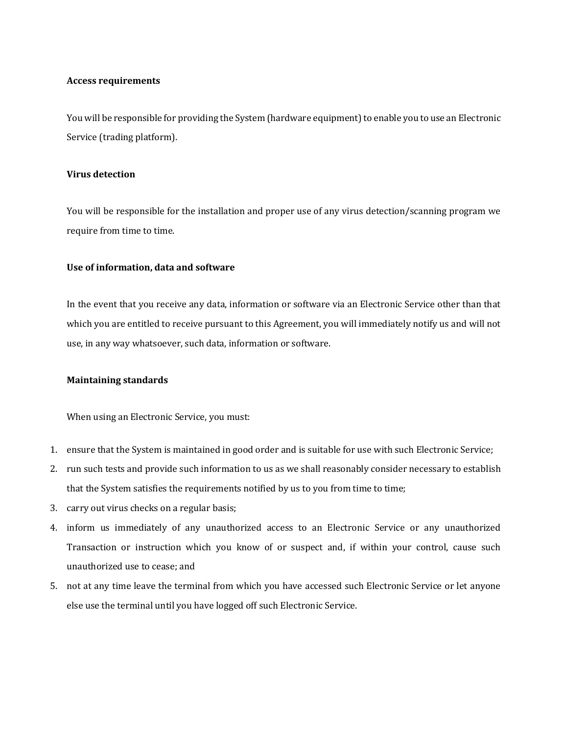## **Access requirements**

You will be responsible for providing the System (hardware equipment) to enable you to use an Electronic Service (trading platform).

## **Virus detection**

You will be responsible for the installation and proper use of any virus detection/scanning program we require from time to time.

## **Use of information, data and software**

In the event that you receive any data, information or software via an Electronic Service other than that which you are entitled to receive pursuant to this Agreement, you will immediately notify us and will not use, in any way whatsoever, such data, information or software.

## **Maintaining standards**

When using an Electronic Service, you must:

- 1. ensure that the System is maintained in good order and is suitable for use with such Electronic Service;
- 2. run such tests and provide such information to us as we shall reasonably consider necessary to establish that the System satisfies the requirements notified by us to you from time to time;
- 3. carry out virus checks on a regular basis;
- 4. inform us immediately of any unauthorized access to an Electronic Service or any unauthorized Transaction or instruction which you know of or suspect and, if within your control, cause such unauthorized use to cease; and
- 5. not at any time leave the terminal from which you have accessed such Electronic Service or let anyone else use the terminal until you have logged off such Electronic Service.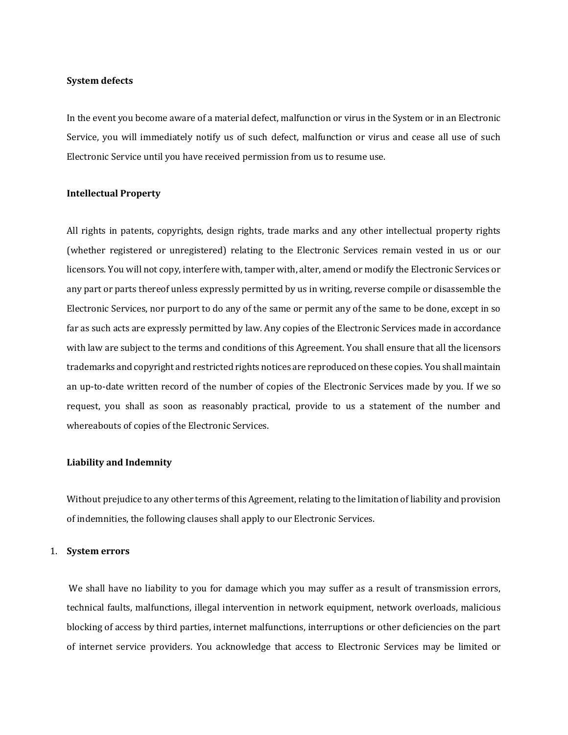#### **System defects**

In the event you become aware of a material defect, malfunction or virus in the System or in an Electronic Service, you will immediately notify us of such defect, malfunction or virus and cease all use of such Electronic Service until you have received permission from us to resume use.

#### **Intellectual Property**

All rights in patents, copyrights, design rights, trade marks and any other intellectual property rights (whether registered or unregistered) relating to the Electronic Services remain vested in us or our licensors. You will not copy, interfere with, tamper with, alter, amend or modify the Electronic Services or any part or parts thereof unless expressly permitted by us in writing, reverse compile or disassemble the Electronic Services, nor purport to do any of the same or permit any of the same to be done, except in so far as such acts are expressly permitted by law. Any copies of the Electronic Services made in accordance with law are subject to the terms and conditions of this Agreement. You shall ensure that all the licensors trademarks and copyright and restricted rights notices are reproduced on these copies. You shall maintain an up-to-date written record of the number of copies of the Electronic Services made by you. If we so request, you shall as soon as reasonably practical, provide to us a statement of the number and whereabouts of copies of the Electronic Services.

#### **Liability and Indemnity**

Without prejudice to any other terms of this Agreement, relating to the limitation of liability and provision of indemnities, the following clauses shall apply to our Electronic Services.

## 1. **System errors**

We shall have no liability to you for damage which you may suffer as a result of transmission errors, technical faults, malfunctions, illegal intervention in network equipment, network overloads, malicious blocking of access by third parties, internet malfunctions, interruptions or other deficiencies on the part of internet service providers. You acknowledge that access to Electronic Services may be limited or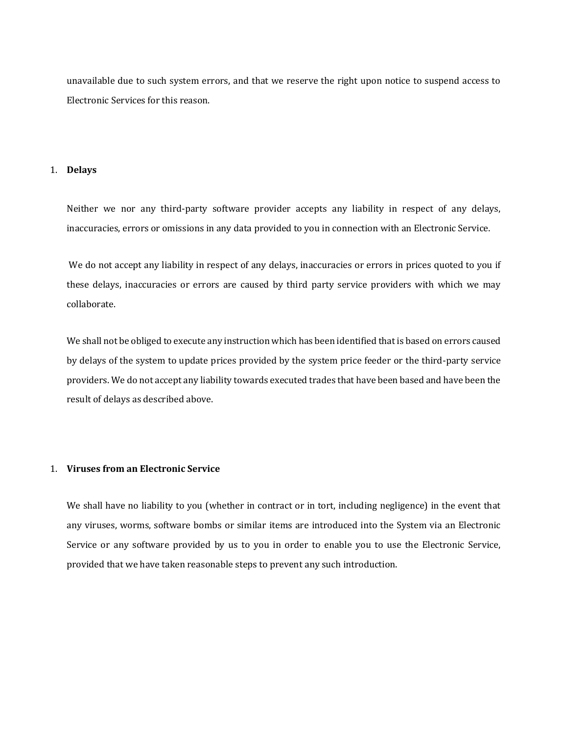unavailable due to such system errors, and that we reserve the right upon notice to suspend access to Electronic Services for this reason.

#### 1. **Delays**

Neither we nor any third-party software provider accepts any liability in respect of any delays, inaccuracies, errors or omissions in any data provided to you in connection with an Electronic Service.

We do not accept any liability in respect of any delays, inaccuracies or errors in prices quoted to you if these delays, inaccuracies or errors are caused by third party service providers with which we may collaborate.

We shall not be obliged to execute any instruction which has been identified that is based on errors caused by delays of the system to update prices provided by the system price feeder or the third-party service providers. We do not accept any liability towards executed trades that have been based and have been the result of delays as described above.

## 1. **Viruses from an Electronic Service**

We shall have no liability to you (whether in contract or in tort, including negligence) in the event that any viruses, worms, software bombs or similar items are introduced into the System via an Electronic Service or any software provided by us to you in order to enable you to use the Electronic Service, provided that we have taken reasonable steps to prevent any such introduction.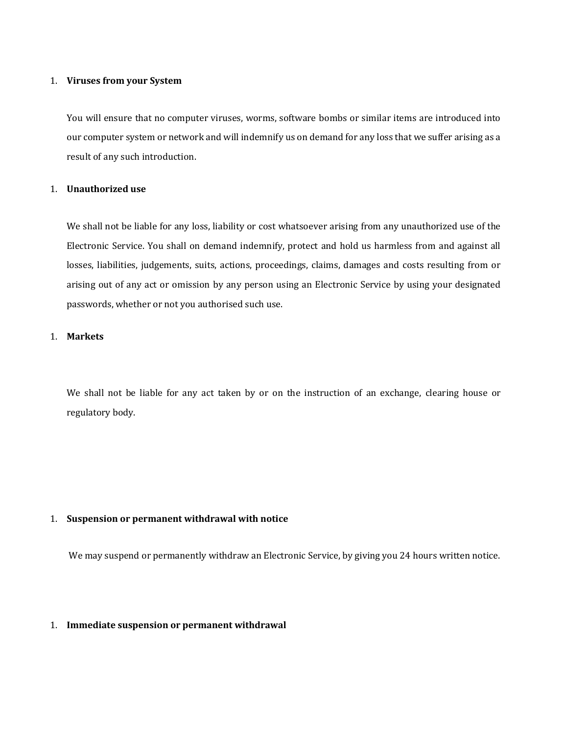### 1. **Viruses from your System**

You will ensure that no computer viruses, worms, software bombs or similar items are introduced into our computer system or network and will indemnify us on demand for any loss that we suffer arising as a result of any such introduction.

## 1. **Unauthorized use**

We shall not be liable for any loss, liability or cost whatsoever arising from any unauthorized use of the Electronic Service. You shall on demand indemnify, protect and hold us harmless from and against all losses, liabilities, judgements, suits, actions, proceedings, claims, damages and costs resulting from or arising out of any act or omission by any person using an Electronic Service by using your designated passwords, whether or not you authorised such use.

## 1. **Markets**

We shall not be liable for any act taken by or on the instruction of an exchange, clearing house or regulatory body.

## 1. **Suspension or permanent withdrawal with notice**

We may suspend or permanently withdraw an Electronic Service, by giving you 24 hours written notice.

#### 1. **Immediate suspension or permanent withdrawal**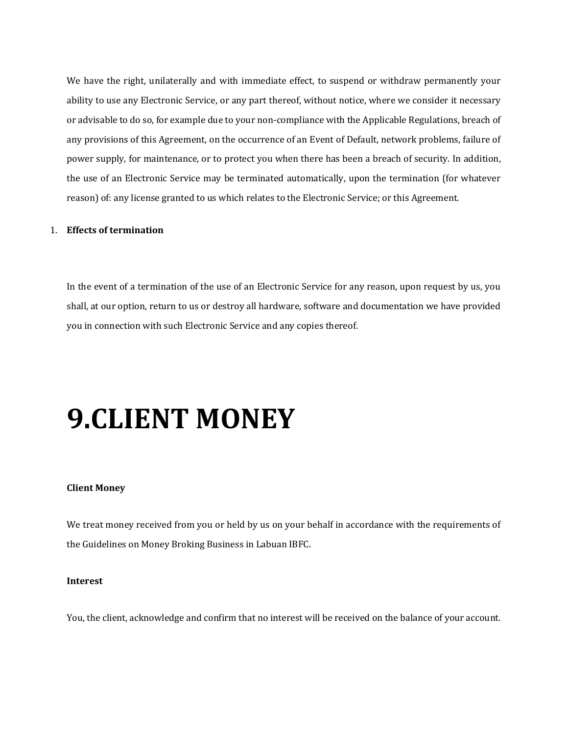We have the right, unilaterally and with immediate effect, to suspend or withdraw permanently your ability to use any Electronic Service, or any part thereof, without notice, where we consider it necessary or advisable to do so, for example due to your non-compliance with the Applicable Regulations, breach of any provisions of this Agreement, on the occurrence of an Event of Default, network problems, failure of power supply, for maintenance, or to protect you when there has been a breach of security. In addition, the use of an Electronic Service may be terminated automatically, upon the termination (for whatever reason) of: any license granted to us which relates to the Electronic Service; or this Agreement.

## 1. **Effects of termination**

In the event of a termination of the use of an Electronic Service for any reason, upon request by us, you shall, at our option, return to us or destroy all hardware, software and documentation we have provided you in connection with such Electronic Service and any copies thereof.

## **9.CLIENT MONEY**

#### **Client Money**

We treat money received from you or held by us on your behalf in accordance with the requirements of the Guidelines on Money Broking Business in Labuan IBFC.

## **Interest**

You, the client, acknowledge and confirm that no interest will be received on the balance of your account.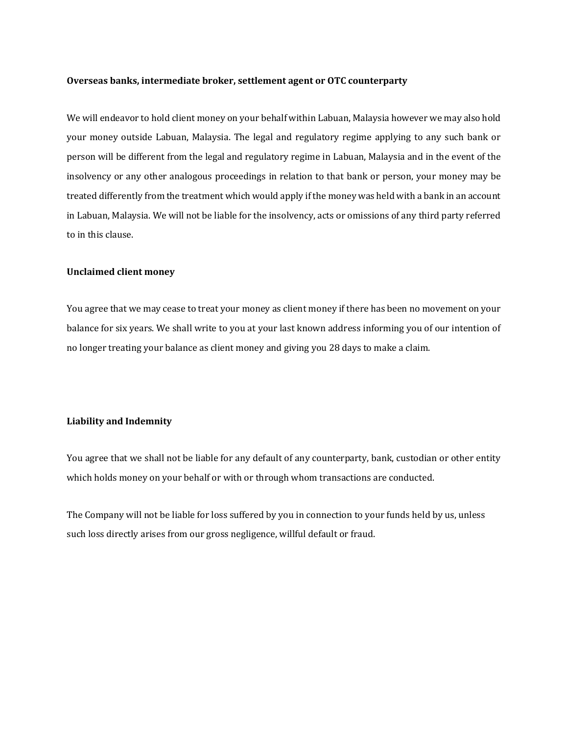#### **Overseas banks, intermediate broker, settlement agent or OTC counterparty**

We will endeavor to hold client money on your behalf within Labuan, Malaysia however we may also hold your money outside Labuan, Malaysia. The legal and regulatory regime applying to any such bank or person will be different from the legal and regulatory regime in Labuan, Malaysia and in the event of the insolvency or any other analogous proceedings in relation to that bank or person, your money may be treated differently from the treatment which would apply if the money was held with a bank in an account in Labuan, Malaysia. We will not be liable for the insolvency, acts or omissions of any third party referred to in this clause.

### **Unclaimed client money**

You agree that we may cease to treat your money as client money if there has been no movement on your balance for six years. We shall write to you at your last known address informing you of our intention of no longer treating your balance as client money and giving you 28 days to make a claim.

## **Liability and Indemnity**

You agree that we shall not be liable for any default of any counterparty, bank, custodian or other entity which holds money on your behalf or with or through whom transactions are conducted.

The Company will not be liable for loss suffered by you in connection to your funds held by us, unless such loss directly arises from our gross negligence, willful default or fraud.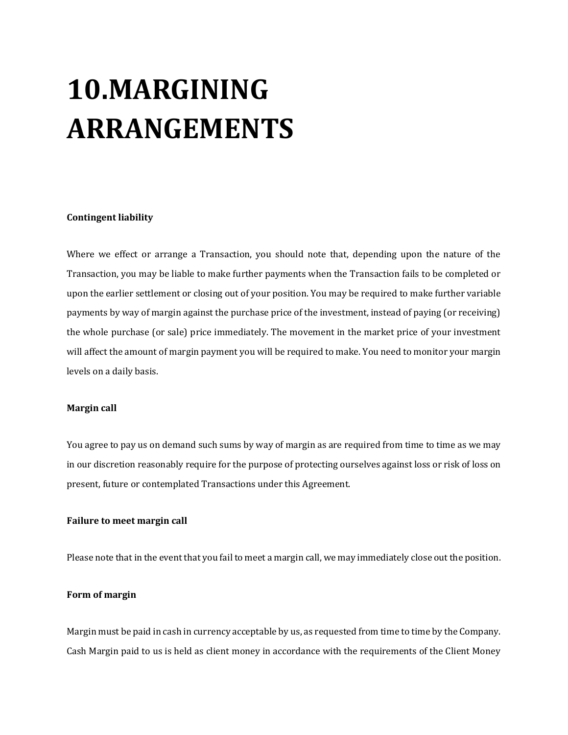# **10.MARGINING ARRANGEMENTS**

## **Contingent liability**

Where we effect or arrange a Transaction, you should note that, depending upon the nature of the Transaction, you may be liable to make further payments when the Transaction fails to be completed or upon the earlier settlement or closing out of your position. You may be required to make further variable payments by way of margin against the purchase price of the investment, instead of paying (or receiving) the whole purchase (or sale) price immediately. The movement in the market price of your investment will affect the amount of margin payment you will be required to make. You need to monitor your margin levels on a daily basis.

## **Margin call**

You agree to pay us on demand such sums by way of margin as are required from time to time as we may in our discretion reasonably require for the purpose of protecting ourselves against loss or risk of loss on present, future or contemplated Transactions under this Agreement.

## **Failure to meet margin call**

Please note that in the event that you fail to meet a margin call, we may immediately close out the position.

## **Form of margin**

Margin must be paid in cash in currency acceptable by us, as requested from time to time by the Company. Cash Margin paid to us is held as client money in accordance with the requirements of the Client Money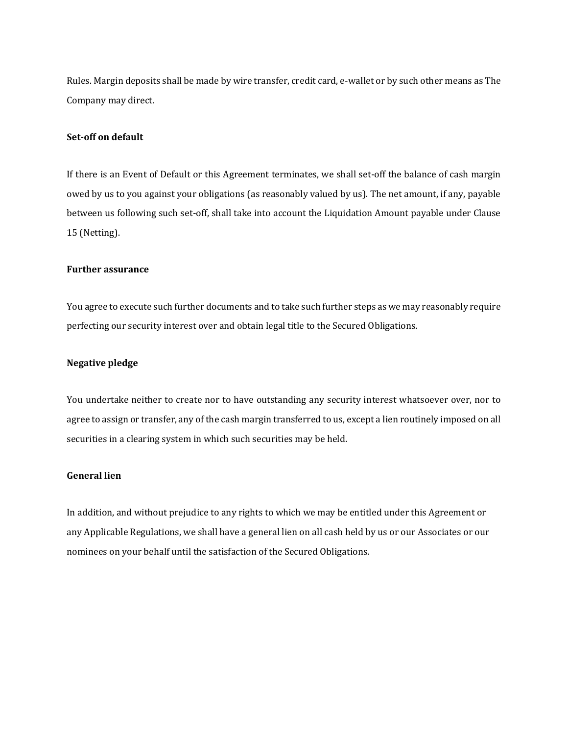Rules. Margin deposits shall be made by wire transfer, credit card, e-wallet or by such other means as The Company may direct.

## **Set-off on default**

If there is an Event of Default or this Agreement terminates, we shall set-off the balance of cash margin owed by us to you against your obligations (as reasonably valued by us). The net amount, if any, payable between us following such set-off, shall take into account the Liquidation Amount payable under Clause 15 (Netting).

## **Further assurance**

You agree to execute such further documents and to take such further steps as we may reasonably require perfecting our security interest over and obtain legal title to the Secured Obligations.

## **Negative pledge**

You undertake neither to create nor to have outstanding any security interest whatsoever over, nor to agree to assign or transfer, any of the cash margin transferred to us, except a lien routinely imposed on all securities in a clearing system in which such securities may be held.

## **General lien**

In addition, and without prejudice to any rights to which we may be entitled under this Agreement or any Applicable Regulations, we shall have a general lien on all cash held by us or our Associates or our nominees on your behalf until the satisfaction of the Secured Obligations.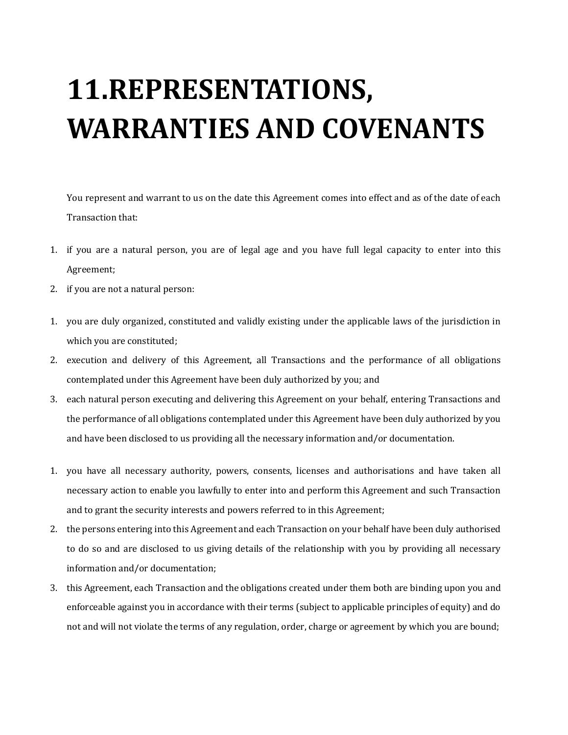# **11.REPRESENTATIONS, WARRANTIES AND COVENANTS**

You represent and warrant to us on the date this Agreement comes into effect and as of the date of each Transaction that:

- 1. if you are a natural person, you are of legal age and you have full legal capacity to enter into this Agreement;
- 2. if you are not a natural person:
- 1. you are duly organized, constituted and validly existing under the applicable laws of the jurisdiction in which you are constituted;
- 2. execution and delivery of this Agreement, all Transactions and the performance of all obligations contemplated under this Agreement have been duly authorized by you; and
- 3. each natural person executing and delivering this Agreement on your behalf, entering Transactions and the performance of all obligations contemplated under this Agreement have been duly authorized by you and have been disclosed to us providing all the necessary information and/or documentation.
- 1. you have all necessary authority, powers, consents, licenses and authorisations and have taken all necessary action to enable you lawfully to enter into and perform this Agreement and such Transaction and to grant the security interests and powers referred to in this Agreement;
- 2. the persons entering into this Agreement and each Transaction on your behalf have been duly authorised to do so and are disclosed to us giving details of the relationship with you by providing all necessary information and/or documentation;
- 3. this Agreement, each Transaction and the obligations created under them both are binding upon you and enforceable against you in accordance with their terms (subject to applicable principles of equity) and do not and will not violate the terms of any regulation, order, charge or agreement by which you are bound;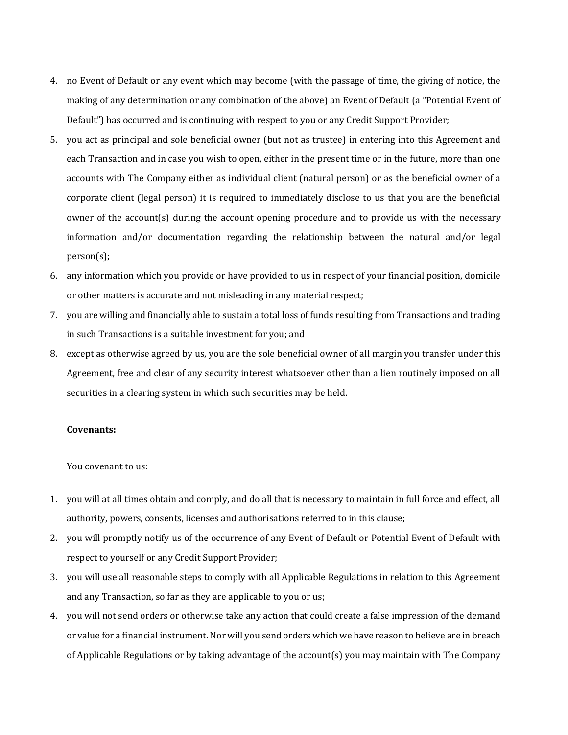- 4. no Event of Default or any event which may become (with the passage of time, the giving of notice, the making of any determination or any combination of the above) an Event of Default (a "Potential Event of Default") has occurred and is continuing with respect to you or any Credit Support Provider;
- 5. you act as principal and sole beneficial owner (but not as trustee) in entering into this Agreement and each Transaction and in case you wish to open, either in the present time or in the future, more than one accounts with The Company either as individual client (natural person) or as the beneficial owner of a corporate client (legal person) it is required to immediately disclose to us that you are the beneficial owner of the account(s) during the account opening procedure and to provide us with the necessary information and/or documentation regarding the relationship between the natural and/or legal person(s);
- 6. any information which you provide or have provided to us in respect of your financial position, domicile or other matters is accurate and not misleading in any material respect;
- 7. you are willing and financially able to sustain a total loss of funds resulting from Transactions and trading in such Transactions is a suitable investment for you; and
- 8. except as otherwise agreed by us, you are the sole beneficial owner of all margin you transfer under this Agreement, free and clear of any security interest whatsoever other than a lien routinely imposed on all securities in a clearing system in which such securities may be held.

## **Covenants:**

You covenant to us:

- 1. you will at all times obtain and comply, and do all that is necessary to maintain in full force and effect, all authority, powers, consents, licenses and authorisations referred to in this clause;
- 2. you will promptly notify us of the occurrence of any Event of Default or Potential Event of Default with respect to yourself or any Credit Support Provider;
- 3. you will use all reasonable steps to comply with all Applicable Regulations in relation to this Agreement and any Transaction, so far as they are applicable to you or us;
- 4. you will not send orders or otherwise take any action that could create a false impression of the demand or value for a financial instrument. Nor will you send orders which we have reason to believe are in breach of Applicable Regulations or by taking advantage of the account(s) you may maintain with The Company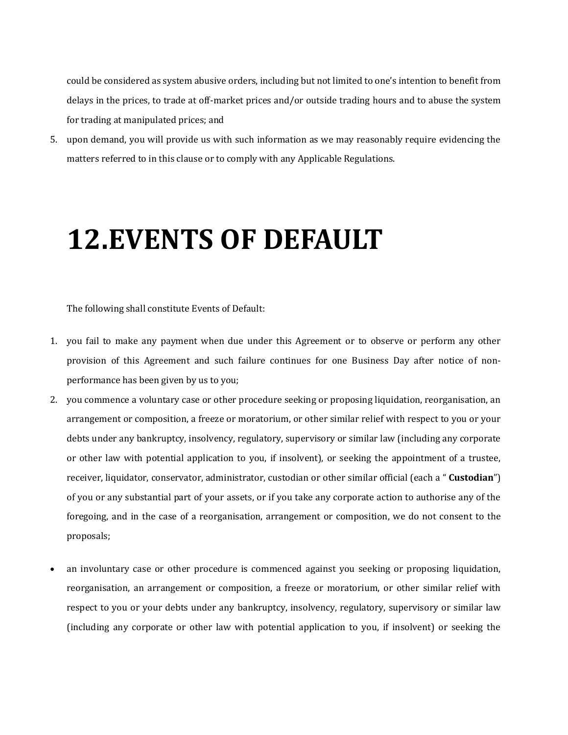could be considered as system abusive orders, including but not limited to one's intention to benefit from delays in the prices, to trade at off-market prices and/or outside trading hours and to abuse the system for trading at manipulated prices; and

5. upon demand, you will provide us with such information as we may reasonably require evidencing the matters referred to in this clause or to comply with any Applicable Regulations.

## **12.EVENTS OF DEFAULT**

The following shall constitute Events of Default:

- 1. you fail to make any payment when due under this Agreement or to observe or perform any other provision of this Agreement and such failure continues for one Business Day after notice of nonperformance has been given by us to you;
- 2. you commence a voluntary case or other procedure seeking or proposing liquidation, reorganisation, an arrangement or composition, a freeze or moratorium, or other similar relief with respect to you or your debts under any bankruptcy, insolvency, regulatory, supervisory or similar law (including any corporate or other law with potential application to you, if insolvent), or seeking the appointment of a trustee, receiver, liquidator, conservator, administrator, custodian or other similar official (each a " **Custodian**") of you or any substantial part of your assets, or if you take any corporate action to authorise any of the foregoing, and in the case of a reorganisation, arrangement or composition, we do not consent to the proposals;
- an involuntary case or other procedure is commenced against you seeking or proposing liquidation, reorganisation, an arrangement or composition, a freeze or moratorium, or other similar relief with respect to you or your debts under any bankruptcy, insolvency, regulatory, supervisory or similar law (including any corporate or other law with potential application to you, if insolvent) or seeking the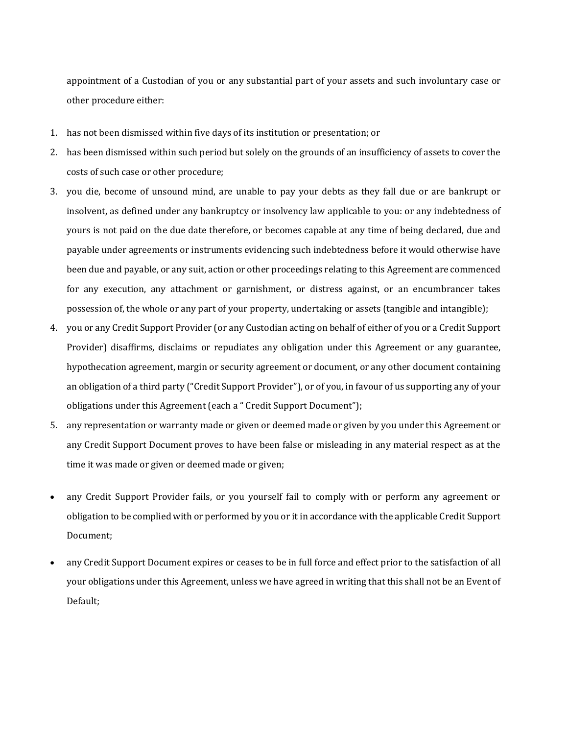appointment of a Custodian of you or any substantial part of your assets and such involuntary case or other procedure either:

- 1. has not been dismissed within five days of its institution or presentation; or
- 2. has been dismissed within such period but solely on the grounds of an insufficiency of assets to cover the costs of such case or other procedure;
- 3. you die, become of unsound mind, are unable to pay your debts as they fall due or are bankrupt or insolvent, as defined under any bankruptcy or insolvency law applicable to you: or any indebtedness of yours is not paid on the due date therefore, or becomes capable at any time of being declared, due and payable under agreements or instruments evidencing such indebtedness before it would otherwise have been due and payable, or any suit, action or other proceedings relating to this Agreement are commenced for any execution, any attachment or garnishment, or distress against, or an encumbrancer takes possession of, the whole or any part of your property, undertaking or assets (tangible and intangible);
- 4. you or any Credit Support Provider (or any Custodian acting on behalf of either of you or a Credit Support Provider) disaffirms, disclaims or repudiates any obligation under this Agreement or any guarantee, hypothecation agreement, margin or security agreement or document, or any other document containing an obligation of a third party ("Credit Support Provider"), or of you, in favour of us supporting any of your obligations under this Agreement (each a " Credit Support Document");
- 5. any representation or warranty made or given or deemed made or given by you under this Agreement or any Credit Support Document proves to have been false or misleading in any material respect as at the time it was made or given or deemed made or given;
- any Credit Support Provider fails, or you yourself fail to comply with or perform any agreement or obligation to be complied with or performed by you or it in accordance with the applicable Credit Support Document;
- any Credit Support Document expires or ceases to be in full force and effect prior to the satisfaction of all your obligations under this Agreement, unless we have agreed in writing that this shall not be an Event of Default;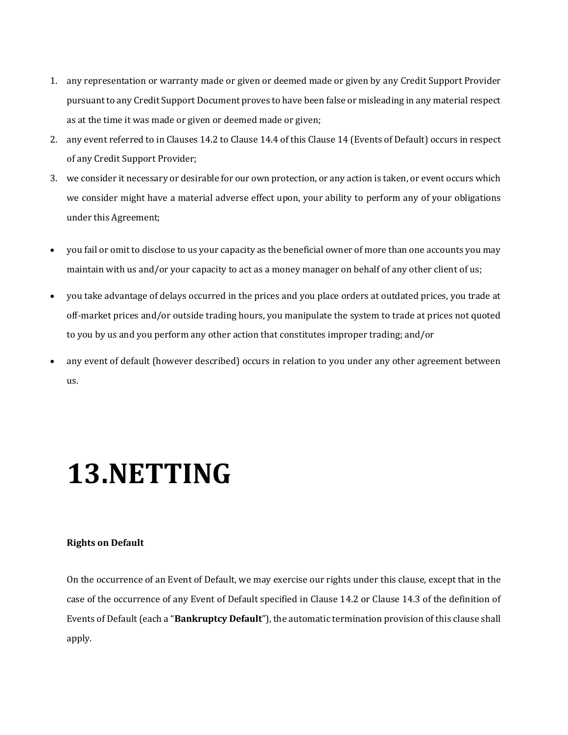- 1. any representation or warranty made or given or deemed made or given by any Credit Support Provider pursuant to any Credit Support Document proves to have been false or misleading in any material respect as at the time it was made or given or deemed made or given;
- 2. any event referred to in Clauses 14.2 to Clause 14.4 of this Clause 14 (Events of Default) occurs in respect of any Credit Support Provider;
- 3. we consider it necessary or desirable for our own protection, or any action is taken, or event occurs which we consider might have a material adverse effect upon, your ability to perform any of your obligations under this Agreement;
- you fail or omit to disclose to us your capacity as the beneficial owner of more than one accounts you may maintain with us and/or your capacity to act as a money manager on behalf of any other client of us;
- you take advantage of delays occurred in the prices and you place orders at outdated prices, you trade at off-market prices and/or outside trading hours, you manipulate the system to trade at prices not quoted to you by us and you perform any other action that constitutes improper trading; and/or
- any event of default (however described) occurs in relation to you under any other agreement between us.

## **13.NETTING**

## **Rights on Default**

On the occurrence of an Event of Default, we may exercise our rights under this clause, except that in the case of the occurrence of any Event of Default specified in Clause 14.2 or Clause 14.3 of the definition of Events of Default (each a "**Bankruptcy Default**"), the automatic termination provision of this clause shall apply.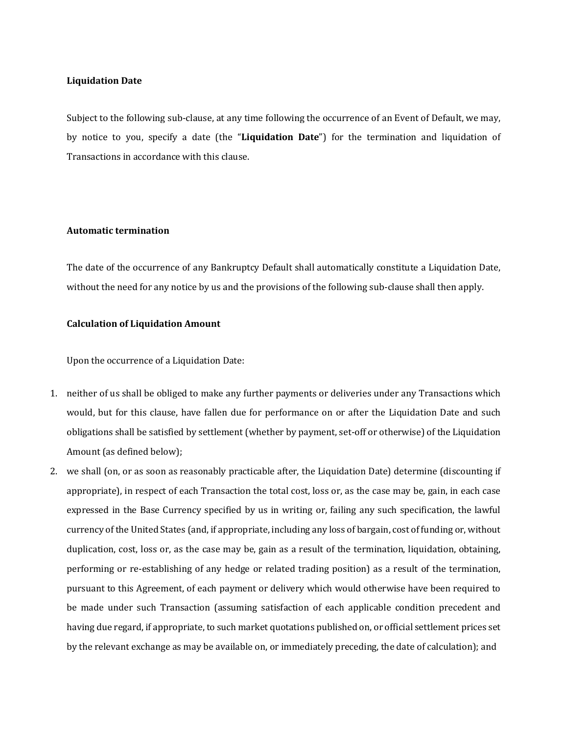## **Liquidation Date**

Subject to the following sub-clause, at any time following the occurrence of an Event of Default, we may, by notice to you, specify a date (the "**Liquidation Date**") for the termination and liquidation of Transactions in accordance with this clause.

## **Automatic termination**

The date of the occurrence of any Bankruptcy Default shall automatically constitute a Liquidation Date, without the need for any notice by us and the provisions of the following sub-clause shall then apply.

## **Calculation of Liquidation Amount**

Upon the occurrence of a Liquidation Date:

- 1. neither of us shall be obliged to make any further payments or deliveries under any Transactions which would, but for this clause, have fallen due for performance on or after the Liquidation Date and such obligations shall be satisfied by settlement (whether by payment, set-off or otherwise) of the Liquidation Amount (as defined below);
- 2. we shall (on, or as soon as reasonably practicable after, the Liquidation Date) determine (discounting if appropriate), in respect of each Transaction the total cost, loss or, as the case may be, gain, in each case expressed in the Base Currency specified by us in writing or, failing any such specification, the lawful currency of the United States (and, if appropriate, including any loss of bargain, cost of funding or, without duplication, cost, loss or, as the case may be, gain as a result of the termination, liquidation, obtaining, performing or re-establishing of any hedge or related trading position) as a result of the termination, pursuant to this Agreement, of each payment or delivery which would otherwise have been required to be made under such Transaction (assuming satisfaction of each applicable condition precedent and having due regard, if appropriate, to such market quotations published on, or official settlement prices set by the relevant exchange as may be available on, or immediately preceding, the date of calculation); and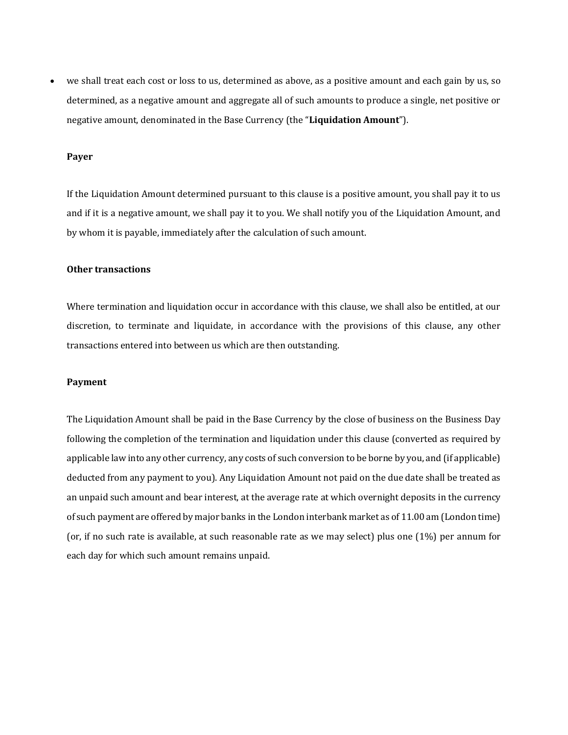• we shall treat each cost or loss to us, determined as above, as a positive amount and each gain by us, so determined, as a negative amount and aggregate all of such amounts to produce a single, net positive or negative amount, denominated in the Base Currency (the "**Liquidation Amount**").

## **Payer**

If the Liquidation Amount determined pursuant to this clause is a positive amount, you shall pay it to us and if it is a negative amount, we shall pay it to you. We shall notify you of the Liquidation Amount, and by whom it is payable, immediately after the calculation of such amount.

#### **Other transactions**

Where termination and liquidation occur in accordance with this clause, we shall also be entitled, at our discretion, to terminate and liquidate, in accordance with the provisions of this clause, any other transactions entered into between us which are then outstanding.

## **Payment**

The Liquidation Amount shall be paid in the Base Currency by the close of business on the Business Day following the completion of the termination and liquidation under this clause (converted as required by applicable law into any other currency, any costs of such conversion to be borne by you, and (if applicable) deducted from any payment to you). Any Liquidation Amount not paid on the due date shall be treated as an unpaid such amount and bear interest, at the average rate at which overnight deposits in the currency of such payment are offered by major banks in the London interbank market as of 11.00 am (London time) (or, if no such rate is available, at such reasonable rate as we may select) plus one (1%) per annum for each day for which such amount remains unpaid.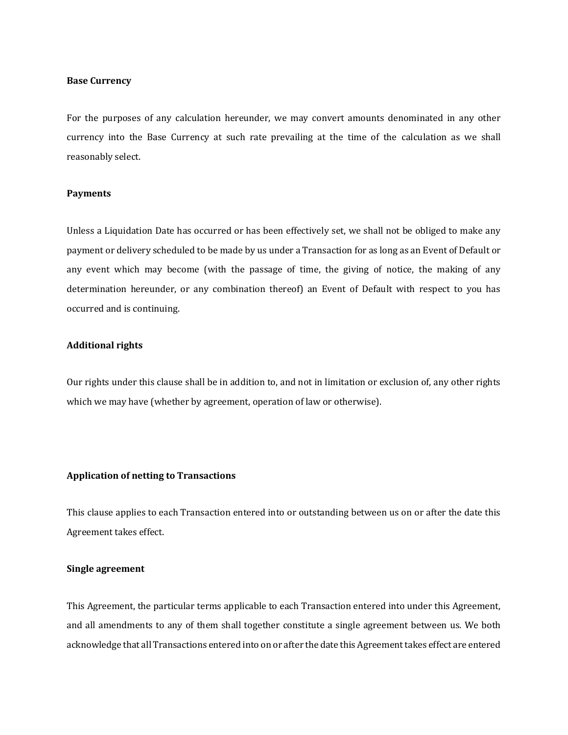## **Base Currency**

For the purposes of any calculation hereunder, we may convert amounts denominated in any other currency into the Base Currency at such rate prevailing at the time of the calculation as we shall reasonably select.

## **Payments**

Unless a Liquidation Date has occurred or has been effectively set, we shall not be obliged to make any payment or delivery scheduled to be made by us under a Transaction for as long as an Event of Default or any event which may become (with the passage of time, the giving of notice, the making of any determination hereunder, or any combination thereof) an Event of Default with respect to you has occurred and is continuing.

## **Additional rights**

Our rights under this clause shall be in addition to, and not in limitation or exclusion of, any other rights which we may have (whether by agreement, operation of law or otherwise).

#### **Application of netting to Transactions**

This clause applies to each Transaction entered into or outstanding between us on or after the date this Agreement takes effect.

## **Single agreement**

This Agreement, the particular terms applicable to each Transaction entered into under this Agreement, and all amendments to any of them shall together constitute a single agreement between us. We both acknowledge that all Transactions entered into on or after the date this Agreement takes effect are entered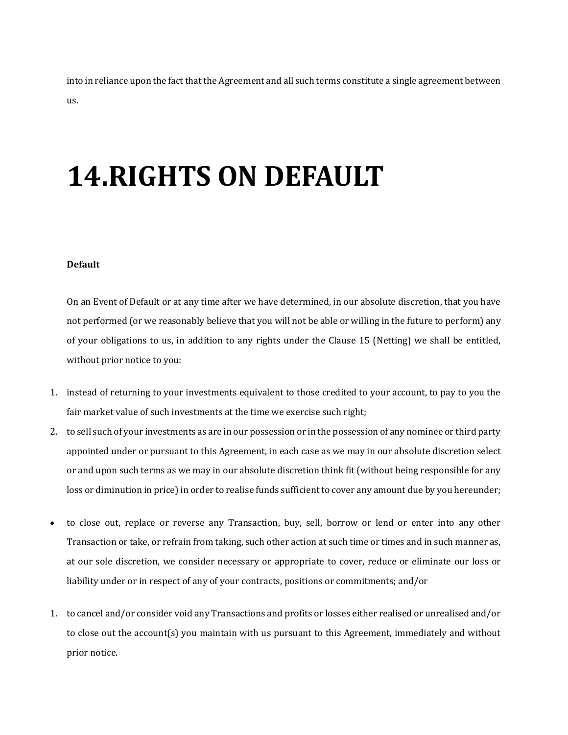into in reliance upon the fact that the Agreement and all such terms constitute a single agreement between us.

# **14.RIGHTS ON DEFAULT**

#### **Default**

On an Event of Default or at any time after we have determined, in our absolute discretion, that you have not performed (or we reasonably believe that you will not be able or willing in the future to perform) any of your obligations to us, in addition to any rights under the Clause 15 (Netting) we shall be entitled, without prior notice to you:

- 1. instead of returning to your investments equivalent to those credited to your account, to pay to you the fair market value of such investments at the time we exercise such right;
- 2. to sell such of your investments as are in our possession or in the possession of any nominee or third party appointed under or pursuant to this Agreement, in each case as we may in our absolute discretion select or and upon such terms as we may in our absolute discretion think fit (without being responsible for any loss or diminution in price) in order to realise funds sufficient to cover any amount due by you hereunder;
- to close out, replace or reverse any Transaction, buy, sell, borrow or lend or enter into any other Transaction or take, or refrain from taking, such other action at such time or times and in such manner as, at our sole discretion, we consider necessary or appropriate to cover, reduce or eliminate our loss or liability under or in respect of any of your contracts, positions or commitments; and/or
- 1. to cancel and/or consider void any Transactions and profits or losses either realised or unrealised and/or to close out the account(s) you maintain with us pursuant to this Agreement, immediately and without prior notice.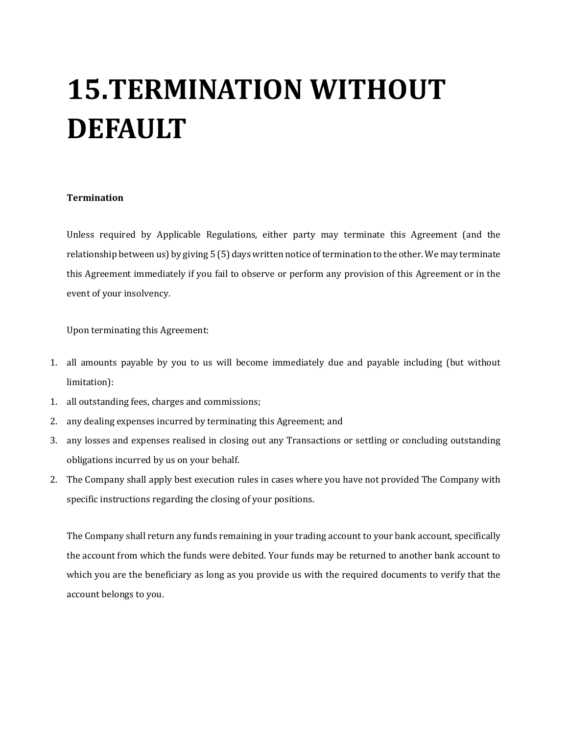# **15.TERMINATION WITHOUT DEFAULT**

## **Termination**

Unless required by Applicable Regulations, either party may terminate this Agreement (and the relationship between us) by giving 5 (5) days written notice of termination to the other. We may terminate this Agreement immediately if you fail to observe or perform any provision of this Agreement or in the event of your insolvency.

Upon terminating this Agreement:

- 1. all amounts payable by you to us will become immediately due and payable including (but without limitation):
- 1. all outstanding fees, charges and commissions;
- 2. any dealing expenses incurred by terminating this Agreement; and
- 3. any losses and expenses realised in closing out any Transactions or settling or concluding outstanding obligations incurred by us on your behalf.
- 2. The Company shall apply best execution rules in cases where you have not provided The Company with specific instructions regarding the closing of your positions.

The Company shall return any funds remaining in your trading account to your bank account, specifically the account from which the funds were debited. Your funds may be returned to another bank account to which you are the beneficiary as long as you provide us with the required documents to verify that the account belongs to you.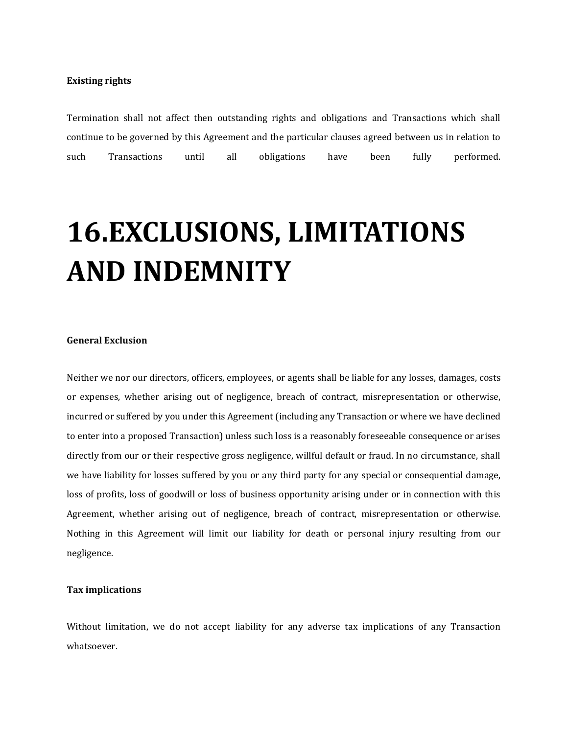## **Existing rights**

Termination shall not affect then outstanding rights and obligations and Transactions which shall continue to be governed by this Agreement and the particular clauses agreed between us in relation to such Transactions until all obligations have been fully performed.

# **16.EXCLUSIONS, LIMITATIONS AND INDEMNITY**

## **General Exclusion**

Neither we nor our directors, officers, employees, or agents shall be liable for any losses, damages, costs or expenses, whether arising out of negligence, breach of contract, misrepresentation or otherwise, incurred or suffered by you under this Agreement (including any Transaction or where we have declined to enter into a proposed Transaction) unless such loss is a reasonably foreseeable consequence or arises directly from our or their respective gross negligence, willful default or fraud. In no circumstance, shall we have liability for losses suffered by you or any third party for any special or consequential damage, loss of profits, loss of goodwill or loss of business opportunity arising under or in connection with this Agreement, whether arising out of negligence, breach of contract, misrepresentation or otherwise. Nothing in this Agreement will limit our liability for death or personal injury resulting from our negligence.

## **Tax implications**

Without limitation, we do not accept liability for any adverse tax implications of any Transaction whatsoever.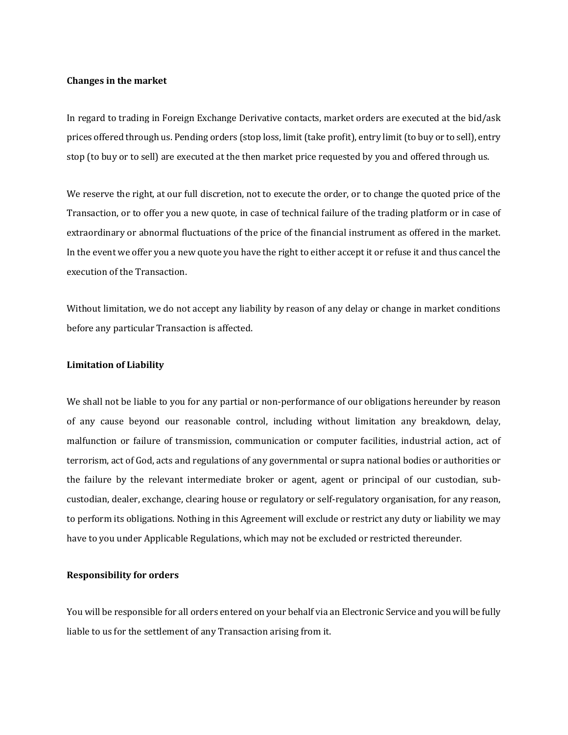## **Changes in the market**

In regard to trading in Foreign Exchange Derivative contacts, market orders are executed at the bid/ask prices offered through us. Pending orders (stop loss, limit (take profit), entry limit (to buy or to sell), entry stop (to buy or to sell) are executed at the then market price requested by you and offered through us.

We reserve the right, at our full discretion, not to execute the order, or to change the quoted price of the Transaction, or to offer you a new quote, in case of technical failure of the trading platform or in case of extraordinary or abnormal fluctuations of the price of the financial instrument as offered in the market. In the event we offer you a new quote you have the right to either accept it or refuse it and thus cancel the execution of the Transaction.

Without limitation, we do not accept any liability by reason of any delay or change in market conditions before any particular Transaction is affected.

#### **Limitation of Liability**

We shall not be liable to you for any partial or non-performance of our obligations hereunder by reason of any cause beyond our reasonable control, including without limitation any breakdown, delay, malfunction or failure of transmission, communication or computer facilities, industrial action, act of terrorism, act of God, acts and regulations of any governmental or supra national bodies or authorities or the failure by the relevant intermediate broker or agent, agent or principal of our custodian, subcustodian, dealer, exchange, clearing house or regulatory or self-regulatory organisation, for any reason, to perform its obligations. Nothing in this Agreement will exclude or restrict any duty or liability we may have to you under Applicable Regulations, which may not be excluded or restricted thereunder.

#### **Responsibility for orders**

You will be responsible for all orders entered on your behalf via an Electronic Service and you will be fully liable to us for the settlement of any Transaction arising from it.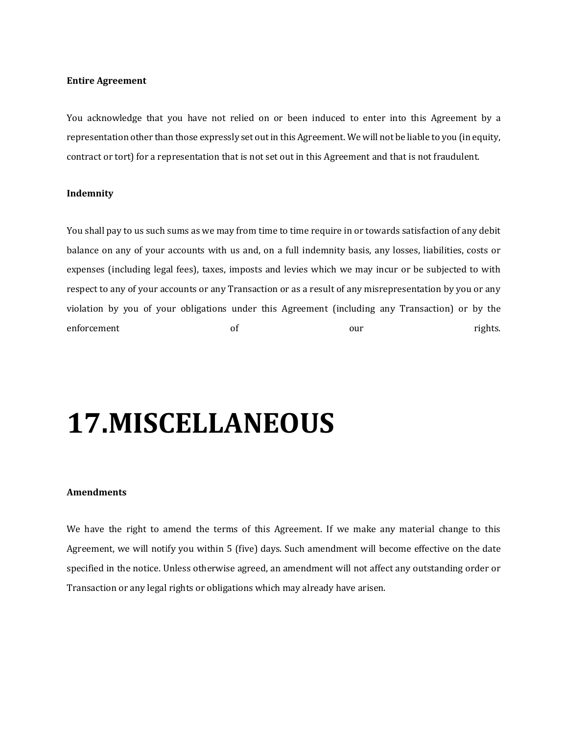#### **Entire Agreement**

You acknowledge that you have not relied on or been induced to enter into this Agreement by a representation other than those expressly set out in this Agreement. We will not be liable to you (in equity, contract or tort) for a representation that is not set out in this Agreement and that is not fraudulent.

## **Indemnity**

You shall pay to us such sums as we may from time to time require in or towards satisfaction of any debit balance on any of your accounts with us and, on a full indemnity basis, any losses, liabilities, costs or expenses (including legal fees), taxes, imposts and levies which we may incur or be subjected to with respect to any of your accounts or any Transaction or as a result of any misrepresentation by you or any violation by you of your obligations under this Agreement (including any Transaction) or by the enforcement of of our our rights.

## **17.MISCELLANEOUS**

## **Amendments**

We have the right to amend the terms of this Agreement. If we make any material change to this Agreement, we will notify you within 5 (five) days. Such amendment will become effective on the date specified in the notice. Unless otherwise agreed, an amendment will not affect any outstanding order or Transaction or any legal rights or obligations which may already have arisen.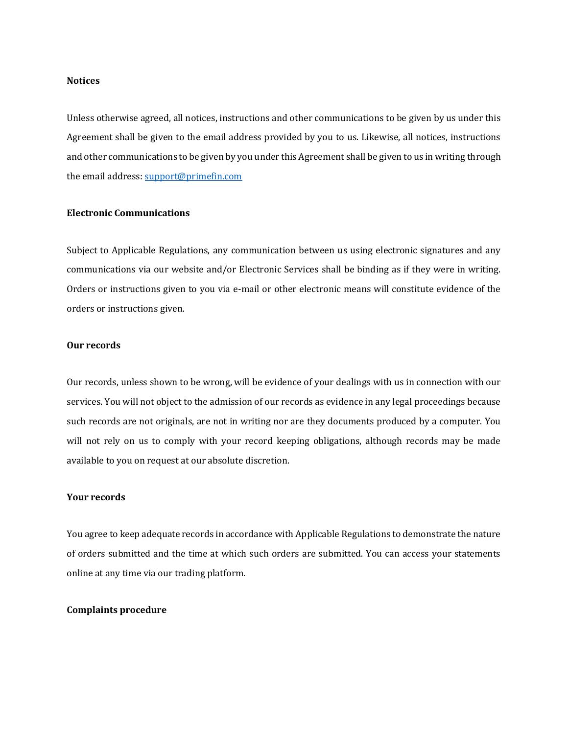#### **Notices**

Unless otherwise agreed, all notices, instructions and other communications to be given by us under this Agreement shall be given to the email address provided by you to us. Likewise, all notices, instructions and other communications to be given by you under this Agreement shall be given to us in writing through the email address: [support@primefin.com](mailto:support@primefin.com)

#### **Electronic Communications**

Subject to Applicable Regulations, any communication between us using electronic signatures and any communications via our website and/or Electronic Services shall be binding as if they were in writing. Orders or instructions given to you via e-mail or other electronic means will constitute evidence of the orders or instructions given.

#### **Our records**

Our records, unless shown to be wrong, will be evidence of your dealings with us in connection with our services. You will not object to the admission of our records as evidence in any legal proceedings because such records are not originals, are not in writing nor are they documents produced by a computer. You will not rely on us to comply with your record keeping obligations, although records may be made available to you on request at our absolute discretion.

#### **Your records**

You agree to keep adequate records in accordance with Applicable Regulations to demonstrate the nature of orders submitted and the time at which such orders are submitted. You can access your statements online at any time via our trading platform.

#### **Complaints procedure**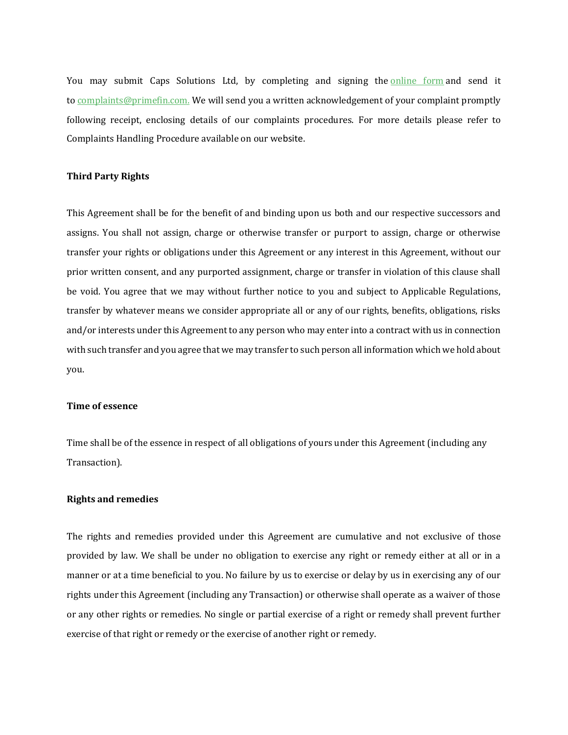You may submit Caps Solutions Ltd, by completing and signing the online form and send it to complaints@primefin.com. We will send you a written acknowledgement of your complaint promptly following receipt, enclosing details of our complaints procedures. For more details please refer to Complaints Handling Procedure available on our website.

## **Third Party Rights**

This Agreement shall be for the benefit of and binding upon us both and our respective successors and assigns. You shall not assign, charge or otherwise transfer or purport to assign, charge or otherwise transfer your rights or obligations under this Agreement or any interest in this Agreement, without our prior written consent, and any purported assignment, charge or transfer in violation of this clause shall be void. You agree that we may without further notice to you and subject to Applicable Regulations, transfer by whatever means we consider appropriate all or any of our rights, benefits, obligations, risks and/or interests under this Agreement to any person who may enter into a contract with us in connection with such transfer and you agree that we may transfer to such person all information which we hold about you.

#### **Time of essence**

Time shall be of the essence in respect of all obligations of yours under this Agreement (including any Transaction).

#### **Rights and remedies**

The rights and remedies provided under this Agreement are cumulative and not exclusive of those provided by law. We shall be under no obligation to exercise any right or remedy either at all or in a manner or at a time beneficial to you. No failure by us to exercise or delay by us in exercising any of our rights under this Agreement (including any Transaction) or otherwise shall operate as a waiver of those or any other rights or remedies. No single or partial exercise of a right or remedy shall prevent further exercise of that right or remedy or the exercise of another right or remedy.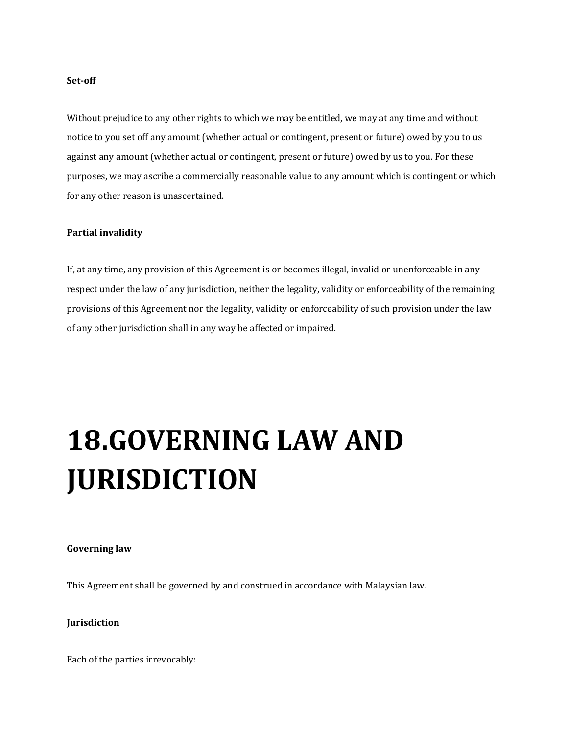#### **Set-off**

Without prejudice to any other rights to which we may be entitled, we may at any time and without notice to you set off any amount (whether actual or contingent, present or future) owed by you to us against any amount (whether actual or contingent, present or future) owed by us to you. For these purposes, we may ascribe a commercially reasonable value to any amount which is contingent or which for any other reason is unascertained.

## **Partial invalidity**

If, at any time, any provision of this Agreement is or becomes illegal, invalid or unenforceable in any respect under the law of any jurisdiction, neither the legality, validity or enforceability of the remaining provisions of this Agreement nor the legality, validity or enforceability of such provision under the law of any other jurisdiction shall in any way be affected or impaired.

# **18.GOVERNING LAW AND JURISDICTION**

#### **Governing law**

This Agreement shall be governed by and construed in accordance with Malaysian law.

## **Jurisdiction**

Each of the parties irrevocably: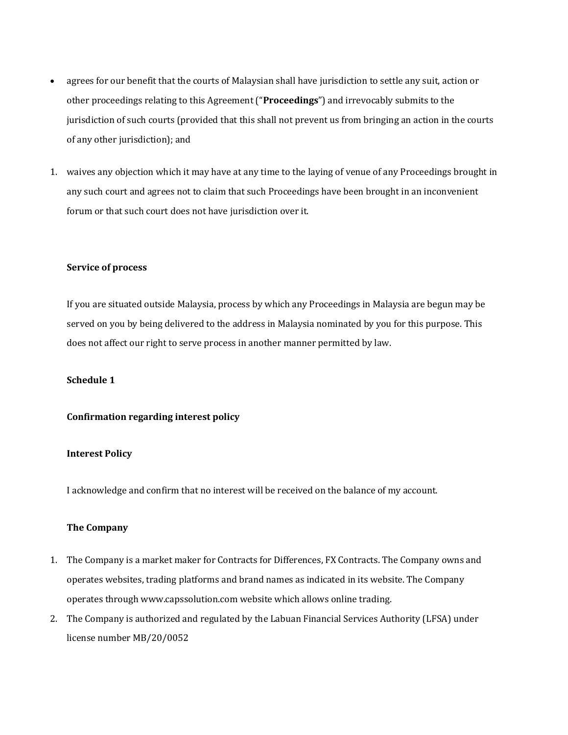- agrees for our benefit that the courts of Malaysian shall have jurisdiction to settle any suit, action or other proceedings relating to this Agreement ("**Proceedings**") and irrevocably submits to the jurisdiction of such courts (provided that this shall not prevent us from bringing an action in the courts of any other jurisdiction); and
- 1. waives any objection which it may have at any time to the laying of venue of any Proceedings brought in any such court and agrees not to claim that such Proceedings have been brought in an inconvenient forum or that such court does not have jurisdiction over it.

#### **Service of process**

If you are situated outside Malaysia, process by which any Proceedings in Malaysia are begun may be served on you by being delivered to the address in Malaysia nominated by you for this purpose. This does not affect our right to serve process in another manner permitted by law.

## **Schedule 1**

## **Confirmation regarding interest policy**

## **Interest Policy**

I acknowledge and confirm that no interest will be received on the balance of my account.

## **The Company**

- 1. The Company is a market maker for Contracts for Differences, FX Contracts. The Company owns and operates websites, trading platforms and brand names as indicated in its website. The Company operates through www.capssolution.com website which allows online trading.
- 2. The Company is authorized and regulated by the Labuan Financial Services Authority (LFSA) under license number MB/20/0052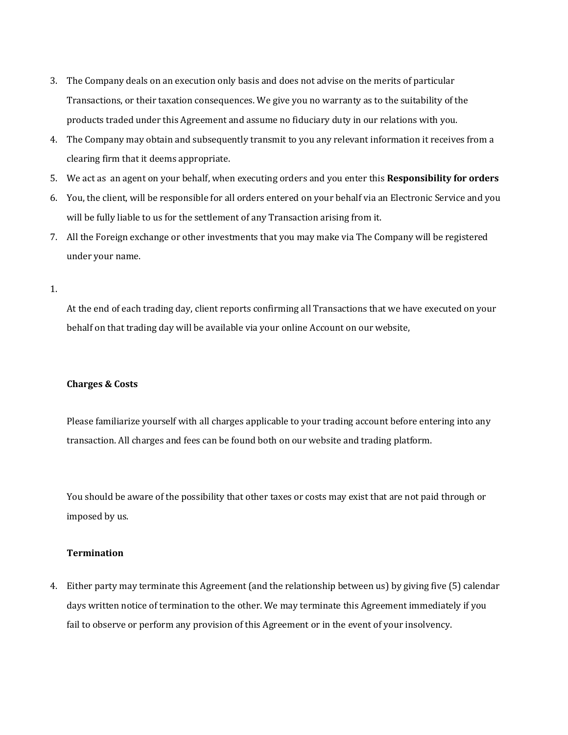- 3. The Company deals on an execution only basis and does not advise on the merits of particular Transactions, or their taxation consequences. We give you no warranty as to the suitability of the products traded under this Agreement and assume no fiduciary duty in our relations with you.
- 4. The Company may obtain and subsequently transmit to you any relevant information it receives from a clearing firm that it deems appropriate.
- 5. We act as an agent on your behalf, when executing orders and you enter this **Responsibility for orders**
- 6. You, the client, will be responsible for all orders entered on your behalf via an Electronic Service and you will be fully liable to us for the settlement of any Transaction arising from it.
- 7. All the Foreign exchange or other investments that you may make via The Company will be registered under your name.
- 1.

At the end of each trading day, client reports confirming all Transactions that we have executed on your behalf on that trading day will be available via your online Account on our website,

## **Charges & Costs**

Please familiarize yourself with all charges applicable to your trading account before entering into any transaction. All charges and fees can be found both on our website and trading platform.

You should be aware of the possibility that other taxes or costs may exist that are not paid through or imposed by us.

## **Termination**

4. Either party may terminate this Agreement (and the relationship between us) by giving five (5) calendar days written notice of termination to the other. We may terminate this Agreement immediately if you fail to observe or perform any provision of this Agreement or in the event of your insolvency.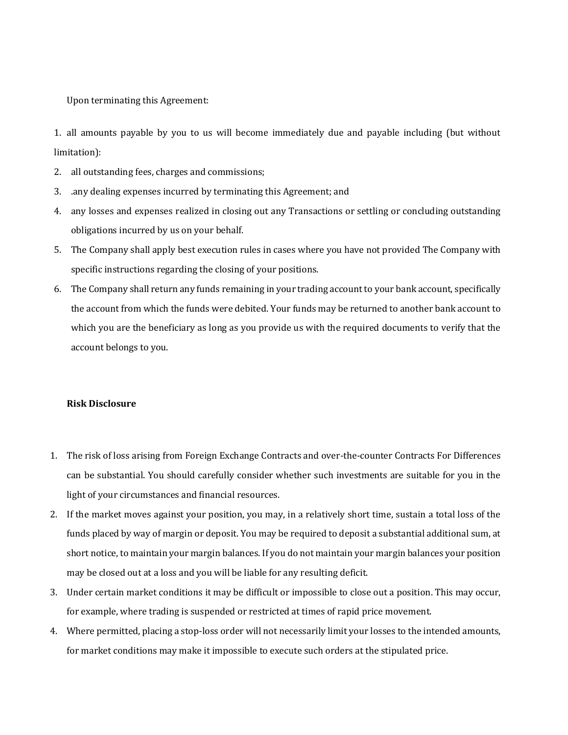Upon terminating this Agreement:

1. all amounts payable by you to us will become immediately due and payable including (but without limitation):

- 2. all outstanding fees, charges and commissions;
- 3. .any dealing expenses incurred by terminating this Agreement; and
- 4. any losses and expenses realized in closing out any Transactions or settling or concluding outstanding obligations incurred by us on your behalf.
- 5. The Company shall apply best execution rules in cases where you have not provided The Company with specific instructions regarding the closing of your positions.
- 6. The Company shall return any funds remaining in your trading account to your bank account, specifically the account from which the funds were debited. Your funds may be returned to another bank account to which you are the beneficiary as long as you provide us with the required documents to verify that the account belongs to you.

## **Risk Disclosure**

- 1. The risk of loss arising from Foreign Exchange Contracts and over-the-counter Contracts For Differences can be substantial. You should carefully consider whether such investments are suitable for you in the light of your circumstances and financial resources.
- 2. If the market moves against your position, you may, in a relatively short time, sustain a total loss of the funds placed by way of margin or deposit. You may be required to deposit a substantial additional sum, at short notice, to maintain your margin balances. If you do not maintain your margin balances your position may be closed out at a loss and you will be liable for any resulting deficit.
- 3. Under certain market conditions it may be difficult or impossible to close out a position. This may occur, for example, where trading is suspended or restricted at times of rapid price movement.
- 4. Where permitted, placing a stop-loss order will not necessarily limit your losses to the intended amounts, for market conditions may make it impossible to execute such orders at the stipulated price.